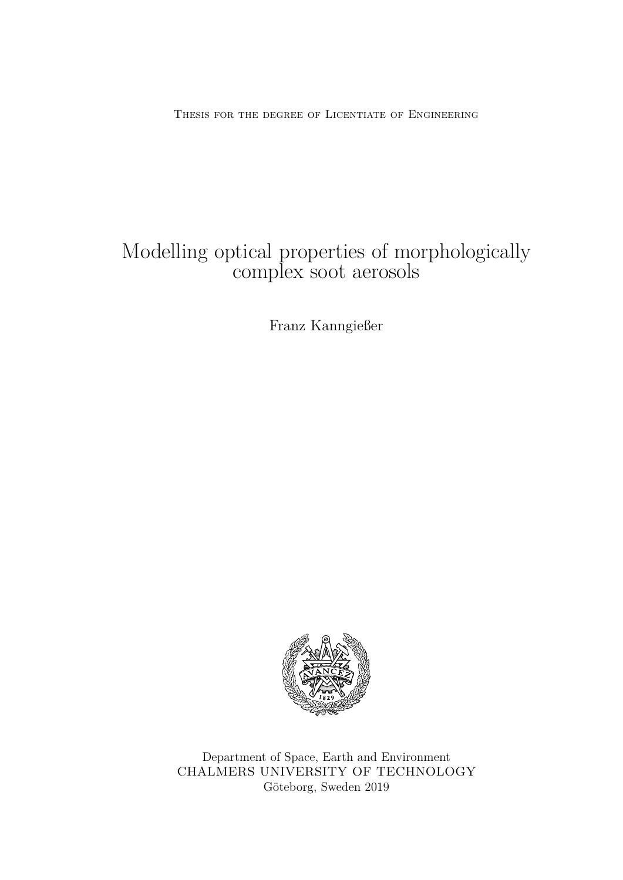Thesis for the degree of Licentiate of Engineering

## Modelling optical properties of morphologically complex soot aerosols

Franz Kanngießer



Department of Space, Earth and Environment CHALMERS UNIVERSITY OF TECHNOLOGY Göteborg, Sweden 2019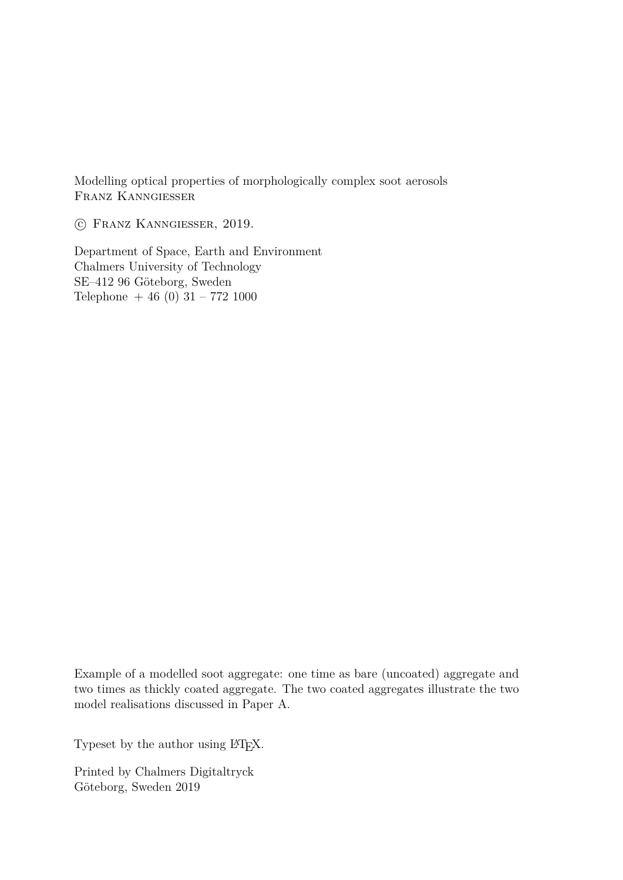Modelling optical properties of morphologically complex soot aerosols Franz Kanngießer

c Franz Kanngießer, 2019.

Department of Space, Earth and Environment Chalmers University of Technology SE–412 96 Göteborg, Sweden Telephone  $+46(0)$  31 – 772 1000

Example of a modelled soot aggregate: one time as bare (uncoated) aggregate and two times as thickly coated aggregate. The two coated aggregates illustrate the two model realisations discussed in Paper A.

Typeset by the author using LAT<sub>EX</sub>.

Printed by Chalmers Digitaltryck Göteborg, Sweden 2019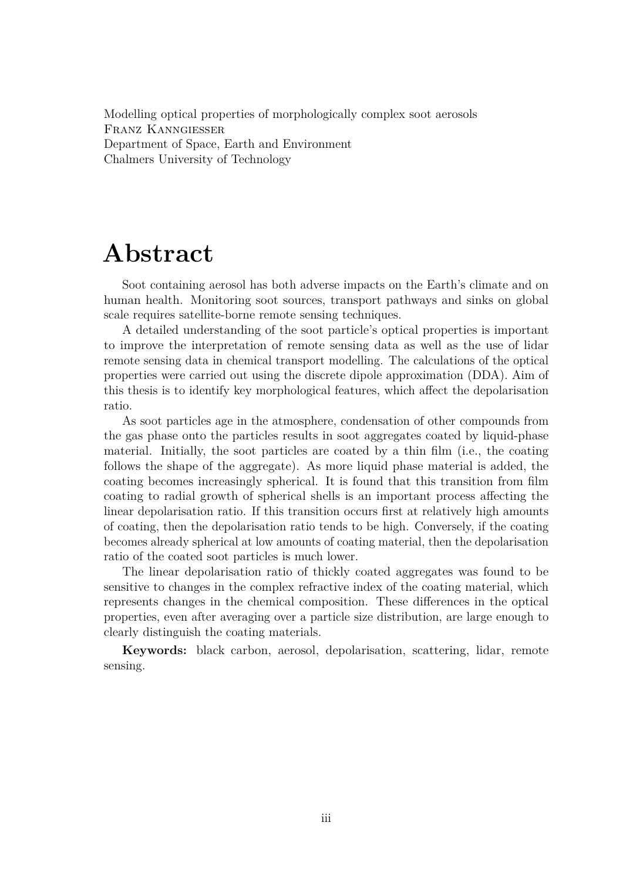Modelling optical properties of morphologically complex soot aerosols Franz Kanngießer Department of Space, Earth and Environment Chalmers University of Technology

# **Abstract**

Soot containing aerosol has both adverse impacts on the Earth's climate and on human health. Monitoring soot sources, transport pathways and sinks on global scale requires satellite-borne remote sensing techniques.

A detailed understanding of the soot particle's optical properties is important to improve the interpretation of remote sensing data as well as the use of lidar remote sensing data in chemical transport modelling. The calculations of the optical properties were carried out using the discrete dipole approximation (DDA). Aim of this thesis is to identify key morphological features, which affect the depolarisation ratio.

As soot particles age in the atmosphere, condensation of other compounds from the gas phase onto the particles results in soot aggregates coated by liquid-phase material. Initially, the soot particles are coated by a thin film (i.e., the coating follows the shape of the aggregate). As more liquid phase material is added, the coating becomes increasingly spherical. It is found that this transition from film coating to radial growth of spherical shells is an important process affecting the linear depolarisation ratio. If this transition occurs first at relatively high amounts of coating, then the depolarisation ratio tends to be high. Conversely, if the coating becomes already spherical at low amounts of coating material, then the depolarisation ratio of the coated soot particles is much lower.

The linear depolarisation ratio of thickly coated aggregates was found to be sensitive to changes in the complex refractive index of the coating material, which represents changes in the chemical composition. These differences in the optical properties, even after averaging over a particle size distribution, are large enough to clearly distinguish the coating materials.

**Keywords:** black carbon, aerosol, depolarisation, scattering, lidar, remote sensing.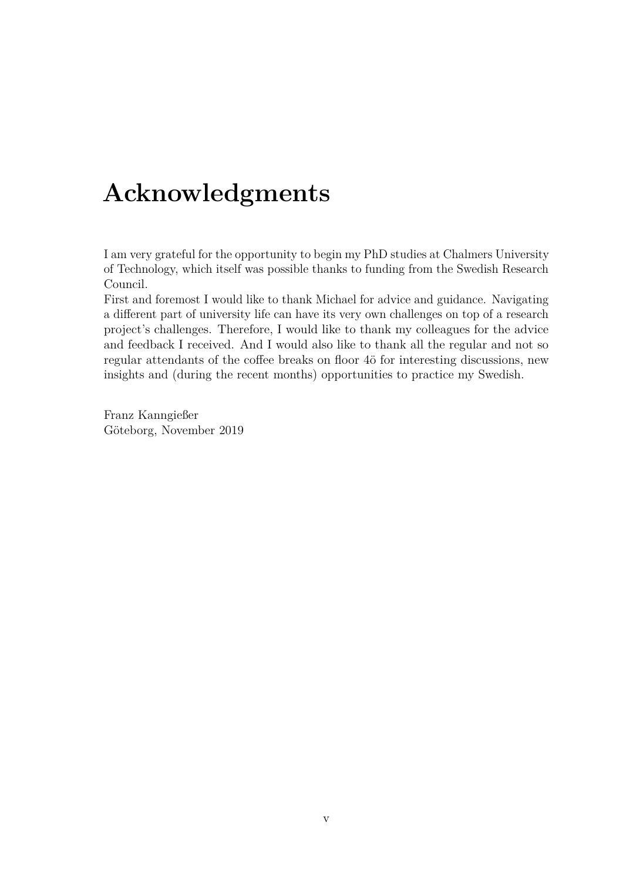# **Acknowledgments**

I am very grateful for the opportunity to begin my PhD studies at Chalmers University of Technology, which itself was possible thanks to funding from the Swedish Research Council.

First and foremost I would like to thank Michael for advice and guidance. Navigating a different part of university life can have its very own challenges on top of a research project's challenges. Therefore, I would like to thank my colleagues for the advice and feedback I received. And I would also like to thank all the regular and not so regular attendants of the coffee breaks on floor 4ö for interesting discussions, new insights and (during the recent months) opportunities to practice my Swedish.

Franz Kanngießer Göteborg, November 2019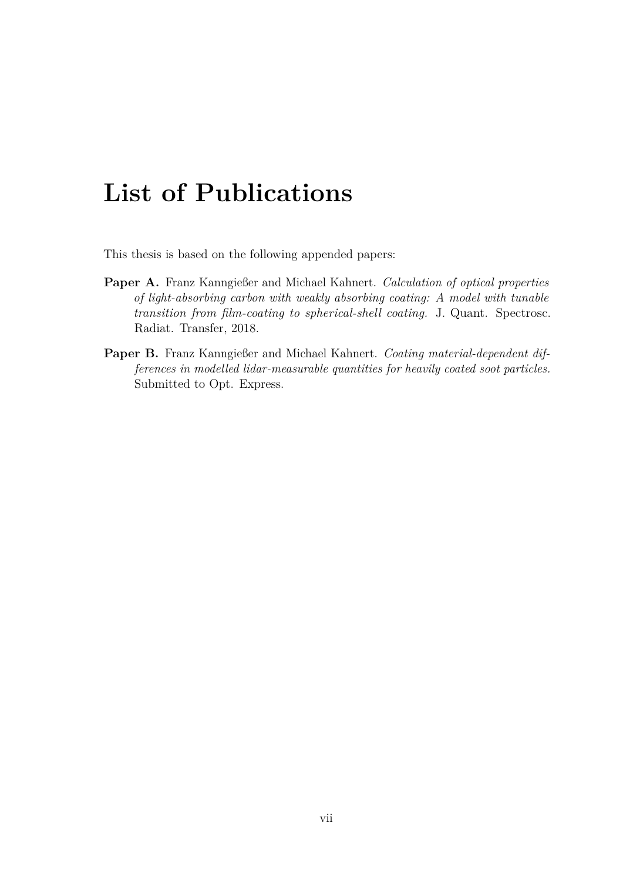# **List of Publications**

This thesis is based on the following appended papers:

- **Paper A.** Franz Kanngießer and Michael Kahnert. *Calculation of optical properties of light-absorbing carbon with weakly absorbing coating: A model with tunable transition from film-coating to spherical-shell coating.* J. Quant. Spectrosc. Radiat. Transfer, 2018.
- **Paper B.** Franz Kanngießer and Michael Kahnert. *Coating material-dependent differences in modelled lidar-measurable quantities for heavily coated soot particles.* Submitted to Opt. Express.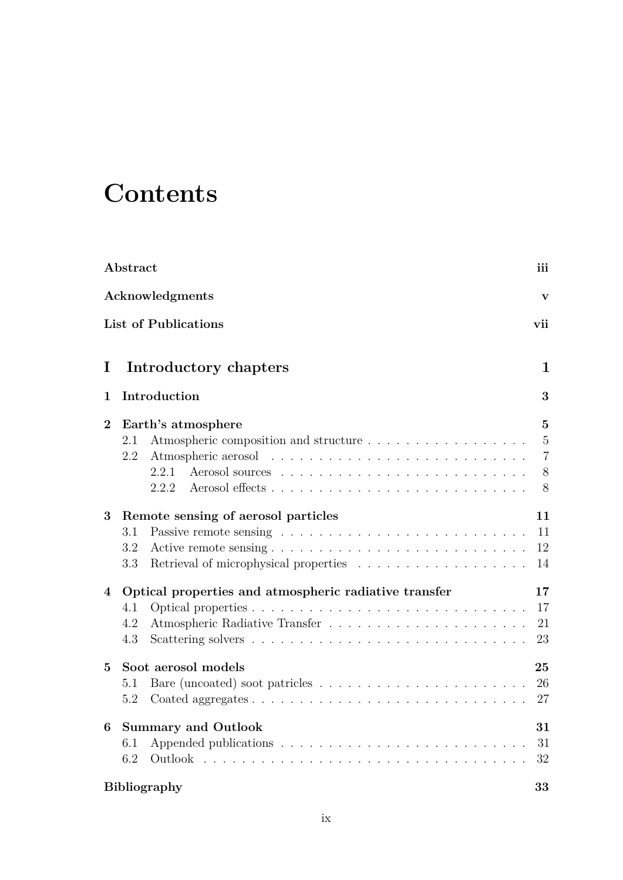# **Contents**

|          | Abstract                                                                                    | iii                                             |  |
|----------|---------------------------------------------------------------------------------------------|-------------------------------------------------|--|
|          | Acknowledgments                                                                             | $\mathbf{V}$                                    |  |
|          | <b>List of Publications</b>                                                                 | vii                                             |  |
| I        | Introductory chapters                                                                       | 1                                               |  |
| 1        | Introduction                                                                                | 3                                               |  |
| $\bf{2}$ | Earth's atmosphere<br>Atmospheric composition and structure<br>2.1<br>2.2<br>2.2.1<br>2.2.2 | 5<br>$\overline{5}$<br>$\overline{7}$<br>8<br>8 |  |
| 3        | Remote sensing of aerosol particles<br>3.1<br>3.2<br>3.3                                    | 11<br>11<br>12<br>14                            |  |
| 4        | Optical properties and atmospheric radiative transfer<br>4.1<br>4.2<br>4.3                  | 17<br>17<br>21<br>23                            |  |
| $\bf{5}$ | Soot aerosol models<br>5.1<br>5.2                                                           | 25<br>26<br>27                                  |  |
| 6        | <b>Summary and Outlook</b><br>6.1<br>6.2                                                    | 31<br>31<br>32<br>33                            |  |
|          | <b>Bibliography</b>                                                                         |                                                 |  |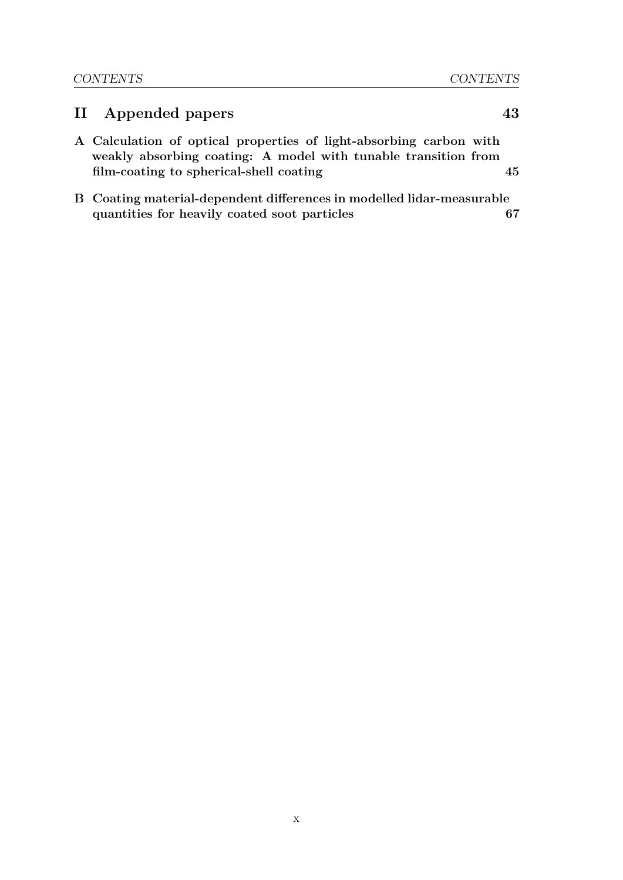## **II Appended papers 43 A Calculation of optical properties of light-absorbing carbon with weakly absorbing coating: A model with tunable transition from film-coating to spherical-shell coating 45**

**B Coating material-dependent differences in modelled lidar-measurable quantities for heavily coated soot particles 67**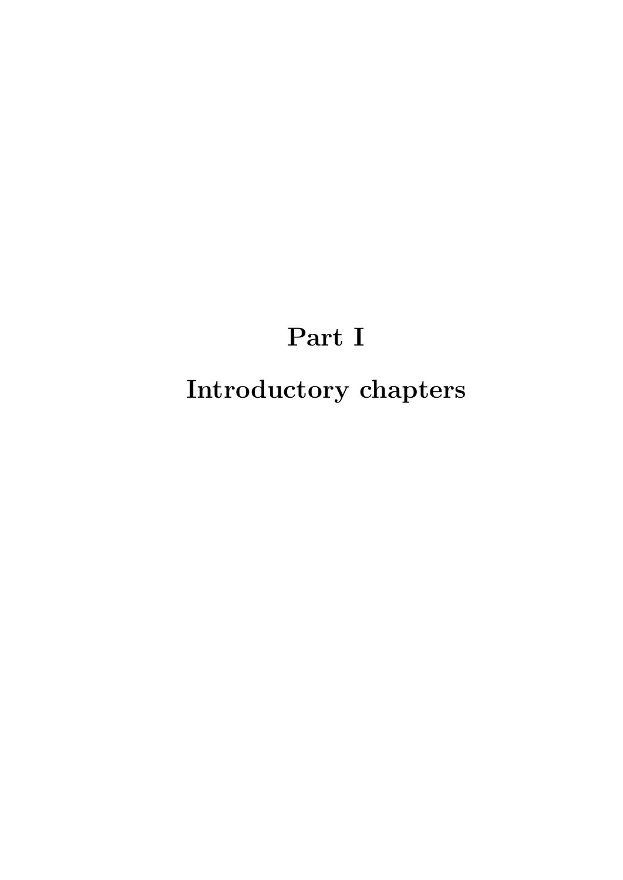# **Part I Introductory chapters**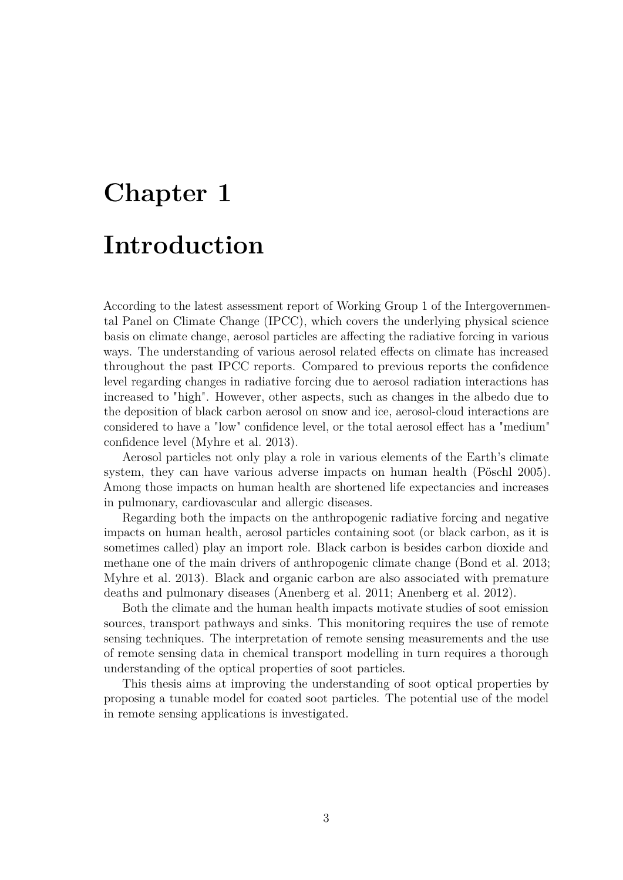# **Chapter 1 Introduction**

According to the latest assessment report of Working Group 1 of the Intergovernmental Panel on Climate Change (IPCC), which covers the underlying physical science basis on climate change, aerosol particles are affecting the radiative forcing in various ways. The understanding of various aerosol related effects on climate has increased throughout the past IPCC reports. Compared to previous reports the confidence level regarding changes in radiative forcing due to aerosol radiation interactions has increased to "high". However, other aspects, such as changes in the albedo due to the deposition of black carbon aerosol on snow and ice, aerosol-cloud interactions are considered to have a "low" confidence level, or the total aerosol effect has a "medium" confidence level (Myhre et al. 2013).

Aerosol particles not only play a role in various elements of the Earth's climate system, they can have various adverse impacts on human health (Pöschl 2005). Among those impacts on human health are shortened life expectancies and increases in pulmonary, cardiovascular and allergic diseases.

Regarding both the impacts on the anthropogenic radiative forcing and negative impacts on human health, aerosol particles containing soot (or black carbon, as it is sometimes called) play an import role. Black carbon is besides carbon dioxide and methane one of the main drivers of anthropogenic climate change (Bond et al. 2013; Myhre et al. 2013). Black and organic carbon are also associated with premature deaths and pulmonary diseases (Anenberg et al. 2011; Anenberg et al. 2012).

Both the climate and the human health impacts motivate studies of soot emission sources, transport pathways and sinks. This monitoring requires the use of remote sensing techniques. The interpretation of remote sensing measurements and the use of remote sensing data in chemical transport modelling in turn requires a thorough understanding of the optical properties of soot particles.

This thesis aims at improving the understanding of soot optical properties by proposing a tunable model for coated soot particles. The potential use of the model in remote sensing applications is investigated.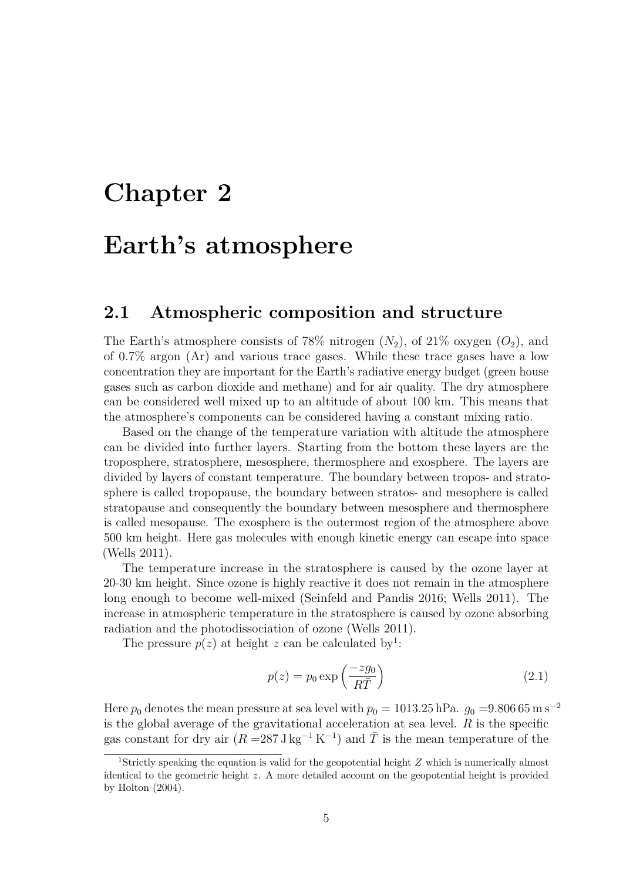# **Chapter 2**

# **Earth's atmosphere**

#### **2.1 Atmospheric composition and structure**

The Earth's atmosphere consists of 78% nitrogen  $(N_2)$ , of 21% oxygen  $(O_2)$ , and of 0.7% argon (Ar) and various trace gases. While these trace gases have a low concentration they are important for the Earth's radiative energy budget (green house gases such as carbon dioxide and methane) and for air quality. The dry atmosphere can be considered well mixed up to an altitude of about 100 km. This means that the atmosphere's components can be considered having a constant mixing ratio.

Based on the change of the temperature variation with altitude the atmosphere can be divided into further layers. Starting from the bottom these layers are the troposphere, stratosphere, mesosphere, thermosphere and exosphere. The layers are divided by layers of constant temperature. The boundary between tropos- and stratosphere is called tropopause, the boundary between stratos- and mesophere is called stratopause and consequently the boundary between mesosphere and thermosphere is called mesopause. The exosphere is the outermost region of the atmosphere above 500 km height. Here gas molecules with enough kinetic energy can escape into space (Wells 2011).

The temperature increase in the stratosphere is caused by the ozone layer at 20-30 km height. Since ozone is highly reactive it does not remain in the atmosphere long enough to become well-mixed (Seinfeld and Pandis 2016; Wells 2011). The increase in atmospheric temperature in the stratosphere is caused by ozone absorbing radiation and the photodissociation of ozone (Wells 2011).

The pressure  $p(z)$  at height *z* can be calculated by<sup>1</sup>:

$$
p(z) = p_0 \exp\left(\frac{-zg_0}{R\bar{T}}\right) \tag{2.1}
$$

Here  $p_0$  denotes the mean pressure at sea level with  $p_0 = 1013.25$  hPa.  $g_0 = 9.806$  65 m s<sup>-2</sup> is the global average of the gravitational acceleration at sea level. *R* is the specific gas constant for dry air  $(R = 287 \text{ J kg}^{-1} \text{ K}^{-1})$  and  $\overline{T}$  is the mean temperature of the

<sup>1</sup>Strictly speaking the equation is valid for the geopotential height *Z* which is numerically almost identical to the geometric height *z*. A more detailed account on the geopotential height is provided by Holton (2004).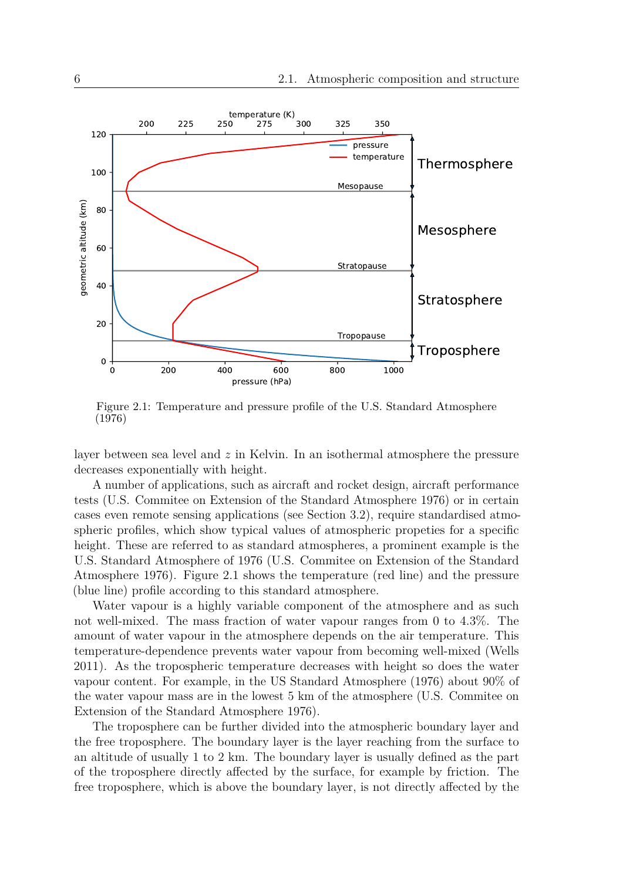

Figure 2.1: Temperature and pressure profile of the U.S. Standard Atmosphere (1976)

layer between sea level and *z* in Kelvin. In an isothermal atmosphere the pressure decreases exponentially with height.

A number of applications, such as aircraft and rocket design, aircraft performance tests (U.S. Commitee on Extension of the Standard Atmosphere 1976) or in certain cases even remote sensing applications (see Section 3.2), require standardised atmospheric profiles, which show typical values of atmospheric propeties for a specific height. These are referred to as standard atmospheres, a prominent example is the U.S. Standard Atmosphere of 1976 (U.S. Commitee on Extension of the Standard Atmosphere 1976). Figure 2.1 shows the temperature (red line) and the pressure (blue line) profile according to this standard atmosphere.

Water vapour is a highly variable component of the atmosphere and as such not well-mixed. The mass fraction of water vapour ranges from 0 to 4.3%. The amount of water vapour in the atmosphere depends on the air temperature. This temperature-dependence prevents water vapour from becoming well-mixed (Wells 2011). As the tropospheric temperature decreases with height so does the water vapour content. For example, in the US Standard Atmosphere (1976) about 90% of the water vapour mass are in the lowest 5 km of the atmosphere (U.S. Commitee on Extension of the Standard Atmosphere 1976).

The troposphere can be further divided into the atmospheric boundary layer and the free troposphere. The boundary layer is the layer reaching from the surface to an altitude of usually 1 to 2 km. The boundary layer is usually defined as the part of the troposphere directly affected by the surface, for example by friction. The free troposphere, which is above the boundary layer, is not directly affected by the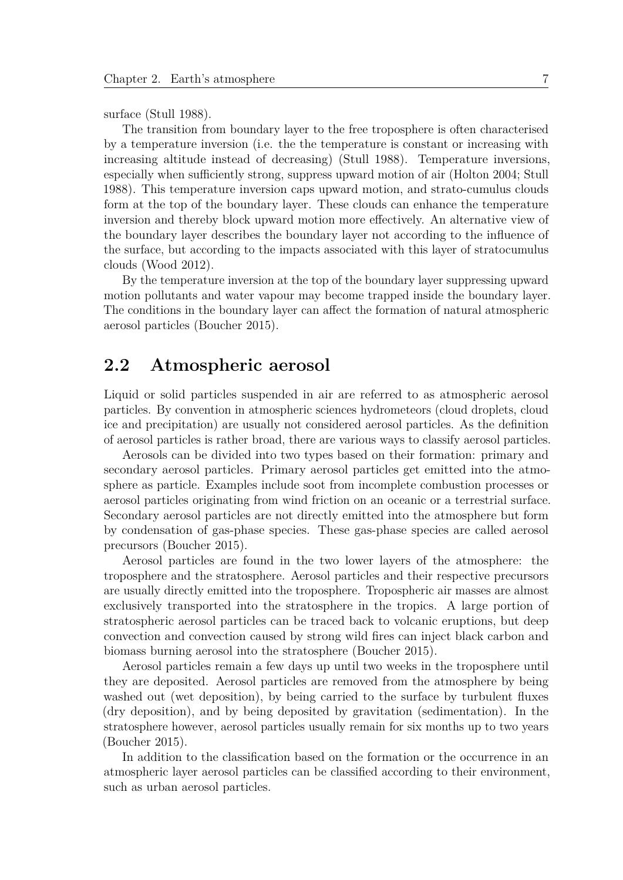surface (Stull 1988).

The transition from boundary layer to the free troposphere is often characterised by a temperature inversion (i.e. the the temperature is constant or increasing with increasing altitude instead of decreasing) (Stull 1988). Temperature inversions, especially when sufficiently strong, suppress upward motion of air (Holton 2004; Stull 1988). This temperature inversion caps upward motion, and strato-cumulus clouds form at the top of the boundary layer. These clouds can enhance the temperature inversion and thereby block upward motion more effectively. An alternative view of the boundary layer describes the boundary layer not according to the influence of the surface, but according to the impacts associated with this layer of stratocumulus clouds (Wood 2012).

By the temperature inversion at the top of the boundary layer suppressing upward motion pollutants and water vapour may become trapped inside the boundary layer. The conditions in the boundary layer can affect the formation of natural atmospheric aerosol particles (Boucher 2015).

#### **2.2 Atmospheric aerosol**

Liquid or solid particles suspended in air are referred to as atmospheric aerosol particles. By convention in atmospheric sciences hydrometeors (cloud droplets, cloud ice and precipitation) are usually not considered aerosol particles. As the definition of aerosol particles is rather broad, there are various ways to classify aerosol particles.

Aerosols can be divided into two types based on their formation: primary and secondary aerosol particles. Primary aerosol particles get emitted into the atmosphere as particle. Examples include soot from incomplete combustion processes or aerosol particles originating from wind friction on an oceanic or a terrestrial surface. Secondary aerosol particles are not directly emitted into the atmosphere but form by condensation of gas-phase species. These gas-phase species are called aerosol precursors (Boucher 2015).

Aerosol particles are found in the two lower layers of the atmosphere: the troposphere and the stratosphere. Aerosol particles and their respective precursors are usually directly emitted into the troposphere. Tropospheric air masses are almost exclusively transported into the stratosphere in the tropics. A large portion of stratospheric aerosol particles can be traced back to volcanic eruptions, but deep convection and convection caused by strong wild fires can inject black carbon and biomass burning aerosol into the stratosphere (Boucher 2015).

Aerosol particles remain a few days up until two weeks in the troposphere until they are deposited. Aerosol particles are removed from the atmosphere by being washed out (wet deposition), by being carried to the surface by turbulent fluxes (dry deposition), and by being deposited by gravitation (sedimentation). In the stratosphere however, aerosol particles usually remain for six months up to two years (Boucher 2015).

In addition to the classification based on the formation or the occurrence in an atmospheric layer aerosol particles can be classified according to their environment, such as urban aerosol particles.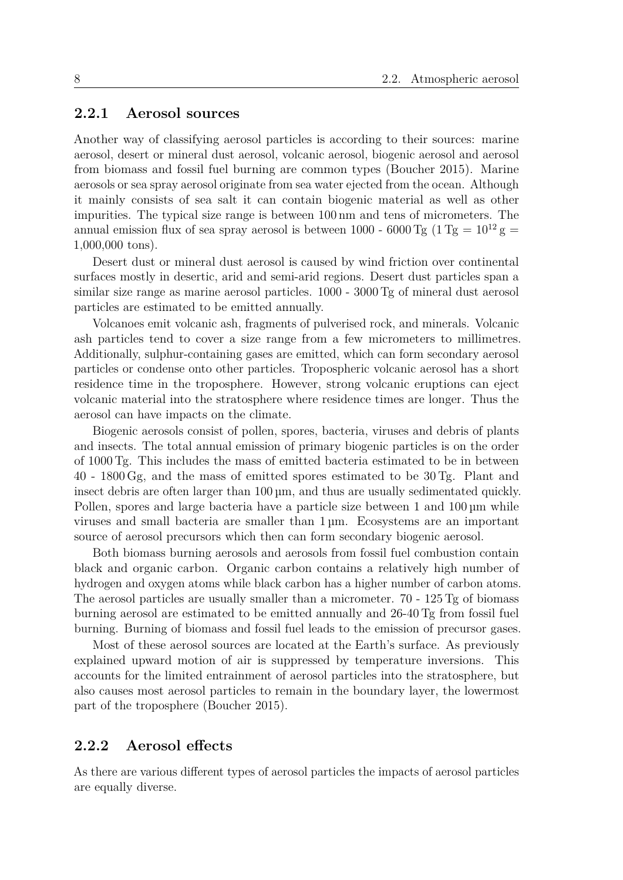#### **2.2.1 Aerosol sources**

Another way of classifying aerosol particles is according to their sources: marine aerosol, desert or mineral dust aerosol, volcanic aerosol, biogenic aerosol and aerosol from biomass and fossil fuel burning are common types (Boucher 2015). Marine aerosols or sea spray aerosol originate from sea water ejected from the ocean. Although it mainly consists of sea salt it can contain biogenic material as well as other impurities. The typical size range is between 100 nm and tens of micrometers. The annual emission flux of sea spray aerosol is between 1000 - 6000 Tg  $(1 \text{ Tg} = 10^{12} \text{ g} =$ 1,000,000 tons).

Desert dust or mineral dust aerosol is caused by wind friction over continental surfaces mostly in desertic, arid and semi-arid regions. Desert dust particles span a similar size range as marine aerosol particles. 1000 - 3000 Tg of mineral dust aerosol particles are estimated to be emitted annually.

Volcanoes emit volcanic ash, fragments of pulverised rock, and minerals. Volcanic ash particles tend to cover a size range from a few micrometers to millimetres. Additionally, sulphur-containing gases are emitted, which can form secondary aerosol particles or condense onto other particles. Tropospheric volcanic aerosol has a short residence time in the troposphere. However, strong volcanic eruptions can eject volcanic material into the stratosphere where residence times are longer. Thus the aerosol can have impacts on the climate.

Biogenic aerosols consist of pollen, spores, bacteria, viruses and debris of plants and insects. The total annual emission of primary biogenic particles is on the order of 1000 Tg. This includes the mass of emitted bacteria estimated to be in between 40 - 1800 Gg, and the mass of emitted spores estimated to be 30 Tg. Plant and insect debris are often larger than 100 µm, and thus are usually sedimentated quickly. Pollen, spores and large bacteria have a particle size between 1 and  $100 \mu m$  while viruses and small bacteria are smaller than 1 µm. Ecosystems are an important source of aerosol precursors which then can form secondary biogenic aerosol.

Both biomass burning aerosols and aerosols from fossil fuel combustion contain black and organic carbon. Organic carbon contains a relatively high number of hydrogen and oxygen atoms while black carbon has a higher number of carbon atoms. The aerosol particles are usually smaller than a micrometer. 70 - 125 Tg of biomass burning aerosol are estimated to be emitted annually and 26-40 Tg from fossil fuel burning. Burning of biomass and fossil fuel leads to the emission of precursor gases.

Most of these aerosol sources are located at the Earth's surface. As previously explained upward motion of air is suppressed by temperature inversions. This accounts for the limited entrainment of aerosol particles into the stratosphere, but also causes most aerosol particles to remain in the boundary layer, the lowermost part of the troposphere (Boucher 2015).

#### **2.2.2 Aerosol effects**

As there are various different types of aerosol particles the impacts of aerosol particles are equally diverse.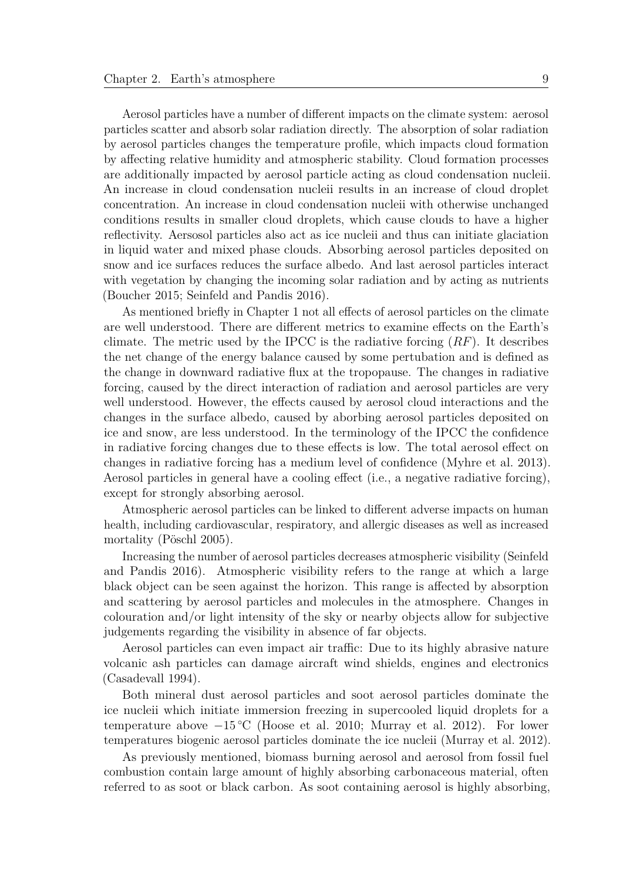Aerosol particles have a number of different impacts on the climate system: aerosol particles scatter and absorb solar radiation directly. The absorption of solar radiation by aerosol particles changes the temperature profile, which impacts cloud formation by affecting relative humidity and atmospheric stability. Cloud formation processes are additionally impacted by aerosol particle acting as cloud condensation nucleii. An increase in cloud condensation nucleii results in an increase of cloud droplet concentration. An increase in cloud condensation nucleii with otherwise unchanged conditions results in smaller cloud droplets, which cause clouds to have a higher reflectivity. Aersosol particles also act as ice nucleii and thus can initiate glaciation in liquid water and mixed phase clouds. Absorbing aerosol particles deposited on snow and ice surfaces reduces the surface albedo. And last aerosol particles interact with vegetation by changing the incoming solar radiation and by acting as nutrients (Boucher 2015; Seinfeld and Pandis 2016).

As mentioned briefly in Chapter 1 not all effects of aerosol particles on the climate are well understood. There are different metrics to examine effects on the Earth's climate. The metric used by the IPCC is the radiative forcing (*RF*). It describes the net change of the energy balance caused by some pertubation and is defined as the change in downward radiative flux at the tropopause. The changes in radiative forcing, caused by the direct interaction of radiation and aerosol particles are very well understood. However, the effects caused by aerosol cloud interactions and the changes in the surface albedo, caused by aborbing aerosol particles deposited on ice and snow, are less understood. In the terminology of the IPCC the confidence in radiative forcing changes due to these effects is low. The total aerosol effect on changes in radiative forcing has a medium level of confidence (Myhre et al. 2013). Aerosol particles in general have a cooling effect (i.e., a negative radiative forcing), except for strongly absorbing aerosol.

Atmospheric aerosol particles can be linked to different adverse impacts on human health, including cardiovascular, respiratory, and allergic diseases as well as increased mortality (Pöschl 2005).

Increasing the number of aerosol particles decreases atmospheric visibility (Seinfeld and Pandis 2016). Atmospheric visibility refers to the range at which a large black object can be seen against the horizon. This range is affected by absorption and scattering by aerosol particles and molecules in the atmosphere. Changes in colouration and/or light intensity of the sky or nearby objects allow for subjective judgements regarding the visibility in absence of far objects.

Aerosol particles can even impact air traffic: Due to its highly abrasive nature volcanic ash particles can damage aircraft wind shields, engines and electronics (Casadevall 1994).

Both mineral dust aerosol particles and soot aerosol particles dominate the ice nucleii which initiate immersion freezing in supercooled liquid droplets for a temperature above  $-15\degree C$  (Hoose et al. 2010; Murray et al. 2012). For lower temperatures biogenic aerosol particles dominate the ice nucleii (Murray et al. 2012).

As previously mentioned, biomass burning aerosol and aerosol from fossil fuel combustion contain large amount of highly absorbing carbonaceous material, often referred to as soot or black carbon. As soot containing aerosol is highly absorbing,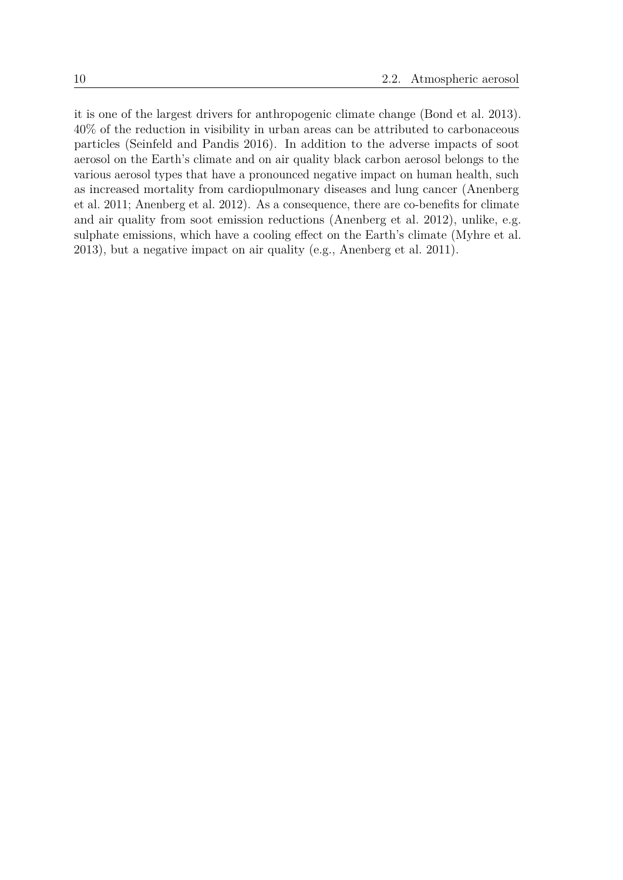it is one of the largest drivers for anthropogenic climate change (Bond et al. 2013). 40% of the reduction in visibility in urban areas can be attributed to carbonaceous particles (Seinfeld and Pandis 2016). In addition to the adverse impacts of soot aerosol on the Earth's climate and on air quality black carbon aerosol belongs to the various aerosol types that have a pronounced negative impact on human health, such as increased mortality from cardiopulmonary diseases and lung cancer (Anenberg et al. 2011; Anenberg et al. 2012). As a consequence, there are co-benefits for climate and air quality from soot emission reductions (Anenberg et al. 2012), unlike, e.g. sulphate emissions, which have a cooling effect on the Earth's climate (Myhre et al. 2013), but a negative impact on air quality (e.g., Anenberg et al. 2011).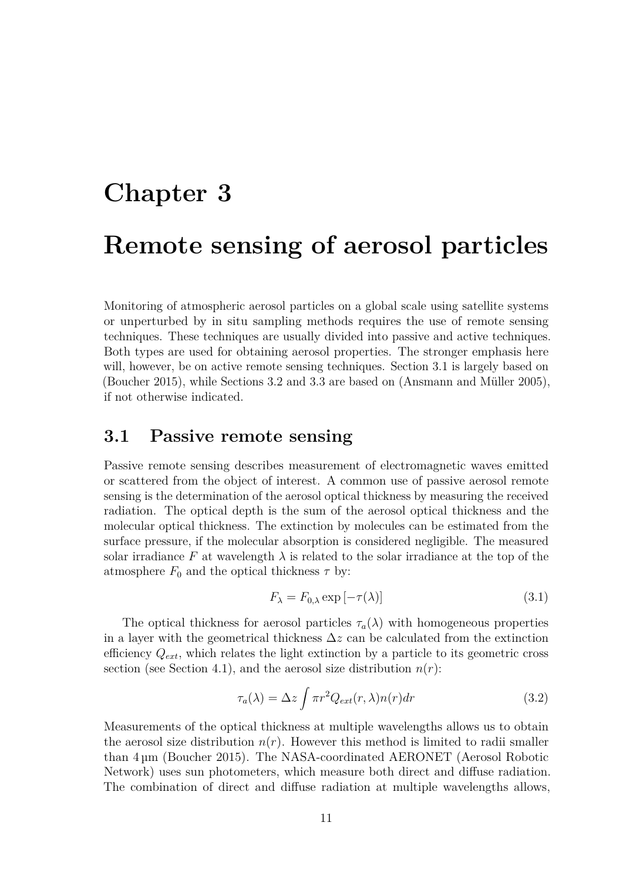# **Chapter 3 Remote sensing of aerosol particles**

Monitoring of atmospheric aerosol particles on a global scale using satellite systems or unperturbed by in situ sampling methods requires the use of remote sensing techniques. These techniques are usually divided into passive and active techniques. Both types are used for obtaining aerosol properties. The stronger emphasis here will, however, be on active remote sensing techniques. Section 3.1 is largely based on (Boucher 2015), while Sections 3.2 and 3.3 are based on (Ansmann and Müller 2005), if not otherwise indicated.

#### **3.1 Passive remote sensing**

Passive remote sensing describes measurement of electromagnetic waves emitted or scattered from the object of interest. A common use of passive aerosol remote sensing is the determination of the aerosol optical thickness by measuring the received radiation. The optical depth is the sum of the aerosol optical thickness and the molecular optical thickness. The extinction by molecules can be estimated from the surface pressure, if the molecular absorption is considered negligible. The measured solar irradiance F at wavelength  $\lambda$  is related to the solar irradiance at the top of the atmosphere  $F_0$  and the optical thickness  $\tau$  by:

$$
F_{\lambda} = F_{0,\lambda} \exp\left[-\tau(\lambda)\right] \tag{3.1}
$$

The optical thickness for aerosol particles  $\tau_a(\lambda)$  with homogeneous properties in a layer with the geometrical thickness  $\Delta z$  can be calculated from the extinction efficiency *Qext*, which relates the light extinction by a particle to its geometric cross section (see Section 4.1), and the aerosol size distribution  $n(r)$ :

$$
\tau_a(\lambda) = \Delta z \int \pi r^2 Q_{ext}(r,\lambda) n(r) dr \qquad (3.2)
$$

Measurements of the optical thickness at multiple wavelengths allows us to obtain the aerosol size distribution  $n(r)$ . However this method is limited to radii smaller than 4 µm (Boucher 2015). The NASA-coordinated AERONET (Aerosol Robotic Network) uses sun photometers, which measure both direct and diffuse radiation. The combination of direct and diffuse radiation at multiple wavelengths allows,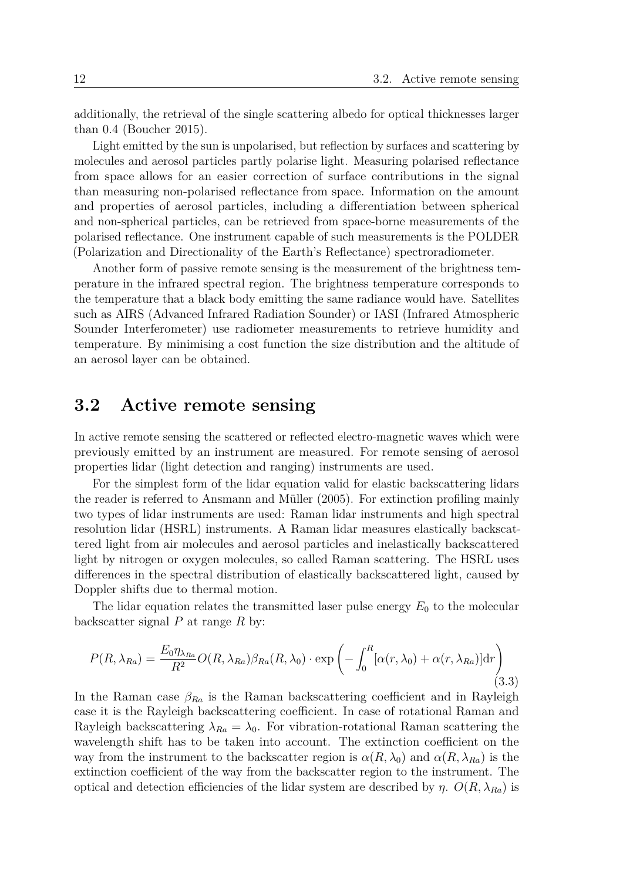additionally, the retrieval of the single scattering albedo for optical thicknesses larger than 0.4 (Boucher 2015).

Light emitted by the sun is unpolarised, but reflection by surfaces and scattering by molecules and aerosol particles partly polarise light. Measuring polarised reflectance from space allows for an easier correction of surface contributions in the signal than measuring non-polarised reflectance from space. Information on the amount and properties of aerosol particles, including a differentiation between spherical and non-spherical particles, can be retrieved from space-borne measurements of the polarised reflectance. One instrument capable of such measurements is the POLDER (Polarization and Directionality of the Earth's Reflectance) spectroradiometer.

Another form of passive remote sensing is the measurement of the brightness temperature in the infrared spectral region. The brightness temperature corresponds to the temperature that a black body emitting the same radiance would have. Satellites such as AIRS (Advanced Infrared Radiation Sounder) or IASI (Infrared Atmospheric Sounder Interferometer) use radiometer measurements to retrieve humidity and temperature. By minimising a cost function the size distribution and the altitude of an aerosol layer can be obtained.

#### **3.2 Active remote sensing**

In active remote sensing the scattered or reflected electro-magnetic waves which were previously emitted by an instrument are measured. For remote sensing of aerosol properties lidar (light detection and ranging) instruments are used.

For the simplest form of the lidar equation valid for elastic backscattering lidars the reader is referred to Ansmann and Müller (2005). For extinction profiling mainly two types of lidar instruments are used: Raman lidar instruments and high spectral resolution lidar (HSRL) instruments. A Raman lidar measures elastically backscattered light from air molecules and aerosol particles and inelastically backscattered light by nitrogen or oxygen molecules, so called Raman scattering. The HSRL uses differences in the spectral distribution of elastically backscattered light, caused by Doppler shifts due to thermal motion.

The lidar equation relates the transmitted laser pulse energy  $E_0$  to the molecular backscatter signal *P* at range *R* by:

$$
P(R,\lambda_{Ra}) = \frac{E_0 \eta_{\lambda_{Ra}}}{R^2} O(R,\lambda_{Ra}) \beta_{Ra}(R,\lambda_0) \cdot \exp\left(-\int_0^R [\alpha(r,\lambda_0) + \alpha(r,\lambda_{Ra})] dr\right)
$$
(3.3)

In the Raman case  $\beta_{Ra}$  is the Raman backscattering coefficient and in Rayleigh case it is the Rayleigh backscattering coefficient. In case of rotational Raman and Rayleigh backscattering  $\lambda_{Ra} = \lambda_0$ . For vibration-rotational Raman scattering the wavelength shift has to be taken into account. The extinction coefficient on the way from the instrument to the backscatter region is  $\alpha(R, \lambda_0)$  and  $\alpha(R, \lambda_{Ra})$  is the extinction coefficient of the way from the backscatter region to the instrument. The optical and detection efficiencies of the lidar system are described by *η*.  $O(R, \lambda_{Ra})$  is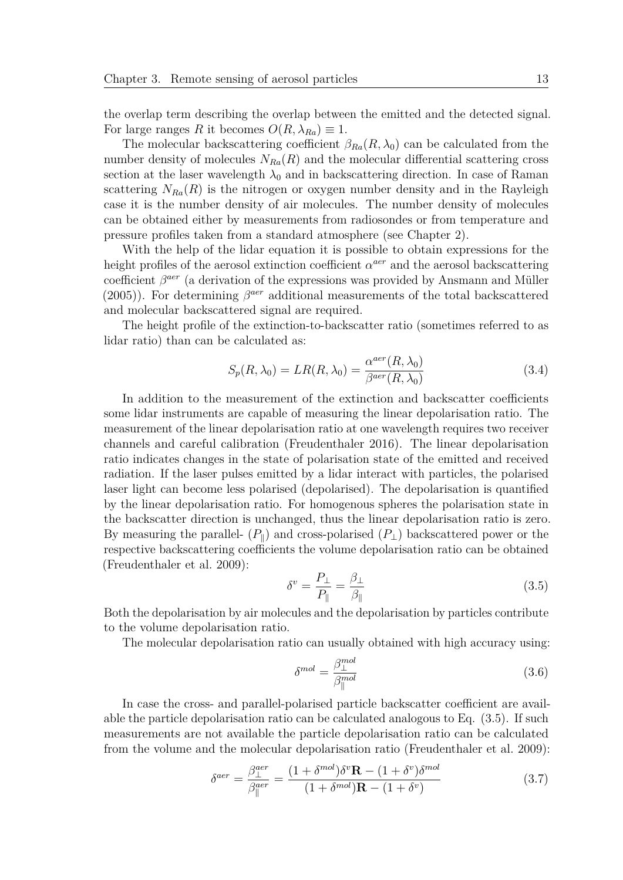the overlap term describing the overlap between the emitted and the detected signal. For large ranges *R* it becomes  $O(R, \lambda_{Ra}) \equiv 1$ .

The molecular backscattering coefficient  $\beta_{Ra}(R, \lambda_0)$  can be calculated from the number density of molecules  $N_{Ra}(R)$  and the molecular differential scattering cross section at the laser wavelength  $\lambda_0$  and in backscattering direction. In case of Raman scattering  $N_{Ra}(R)$  is the nitrogen or oxygen number density and in the Rayleigh case it is the number density of air molecules. The number density of molecules can be obtained either by measurements from radiosondes or from temperature and pressure profiles taken from a standard atmosphere (see Chapter 2).

With the help of the lidar equation it is possible to obtain expressions for the height profiles of the aerosol extinction coefficient  $\alpha^{aer}$  and the aerosol backscattering coefficient  $β^{aer}$  (a derivation of the expressions was provided by Ansmann and Müller (2005)). For determining  $\beta^{aer}$  additional measurements of the total backscattered and molecular backscattered signal are required.

The height profile of the extinction-to-backscatter ratio (sometimes referred to as lidar ratio) than can be calculated as:

$$
S_p(R, \lambda_0) = LR(R, \lambda_0) = \frac{\alpha^{aer}(R, \lambda_0)}{\beta^{aer}(R, \lambda_0)}
$$
\n(3.4)

In addition to the measurement of the extinction and backscatter coefficients some lidar instruments are capable of measuring the linear depolarisation ratio. The measurement of the linear depolarisation ratio at one wavelength requires two receiver channels and careful calibration (Freudenthaler 2016). The linear depolarisation ratio indicates changes in the state of polarisation state of the emitted and received radiation. If the laser pulses emitted by a lidar interact with particles, the polarised laser light can become less polarised (depolarised). The depolarisation is quantified by the linear depolarisation ratio. For homogenous spheres the polarisation state in the backscatter direction is unchanged, thus the linear depolarisation ratio is zero. By measuring the parallel-  $(P_{\parallel})$  and cross-polarised  $(P_{\perp})$  backscattered power or the respective backscattering coefficients the volume depolarisation ratio can be obtained (Freudenthaler et al. 2009):

$$
\delta^v = \frac{P_\perp}{P_{\parallel}} = \frac{\beta_\perp}{\beta_{\parallel}}\tag{3.5}
$$

Both the depolarisation by air molecules and the depolarisation by particles contribute to the volume depolarisation ratio.

The molecular depolarisation ratio can usually obtained with high accuracy using:

$$
\delta^{mol} = \frac{\beta_{\perp}^{mol}}{\beta_{\parallel}^{mol}}
$$
\n(3.6)

In case the cross- and parallel-polarised particle backscatter coefficient are available the particle depolarisation ratio can be calculated analogous to Eq. (3.5). If such measurements are not available the particle depolarisation ratio can be calculated from the volume and the molecular depolarisation ratio (Freudenthaler et al. 2009):

$$
\delta^{aer} = \frac{\beta_{\perp}^{aer}}{\beta_{\parallel}^{aer}} = \frac{(1 + \delta^{mol})\delta^{v}\mathbf{R} - (1 + \delta^{v})\delta^{mol}}{(1 + \delta^{mol})\mathbf{R} - (1 + \delta^{v})}
$$
(3.7)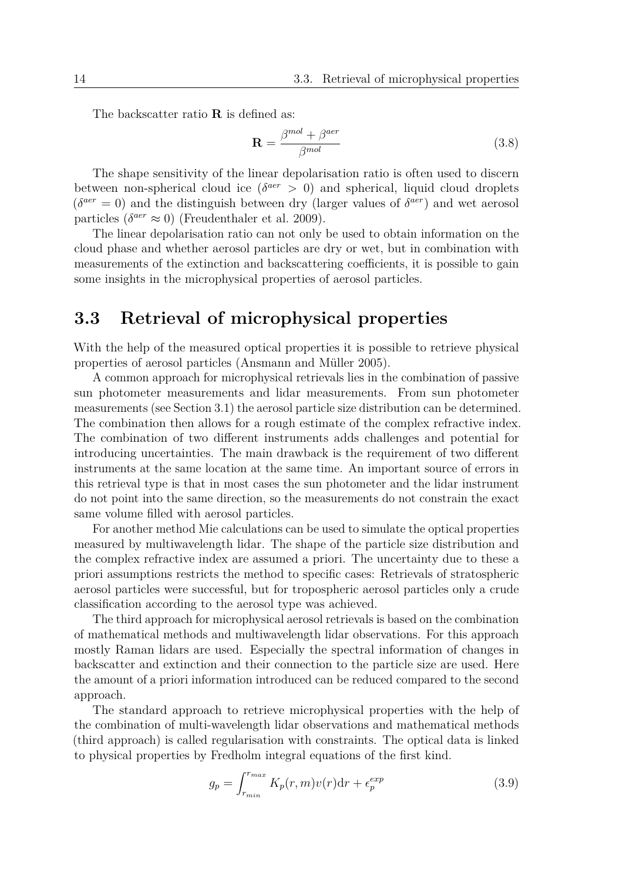The backscatter ratio **R** is defined as:

$$
\mathbf{R} = \frac{\beta^{mol} + \beta^{aer}}{\beta^{mol}}
$$
 (3.8)

The shape sensitivity of the linear depolarisation ratio is often used to discern between non-spherical cloud ice ( $\delta^{aer} > 0$ ) and spherical, liquid cloud droplets  $(\delta^{aer} = 0)$  and the distinguish between dry (larger values of  $\delta^{aer}$ ) and wet aerosol particles  $(\delta^{aer} \approx 0)$  (Freudenthaler et al. 2009).

The linear depolarisation ratio can not only be used to obtain information on the cloud phase and whether aerosol particles are dry or wet, but in combination with measurements of the extinction and backscattering coefficients, it is possible to gain some insights in the microphysical properties of aerosol particles.

### **3.3 Retrieval of microphysical properties**

With the help of the measured optical properties it is possible to retrieve physical properties of aerosol particles (Ansmann and Müller 2005).

A common approach for microphysical retrievals lies in the combination of passive sun photometer measurements and lidar measurements. From sun photometer measurements (see Section 3.1) the aerosol particle size distribution can be determined. The combination then allows for a rough estimate of the complex refractive index. The combination of two different instruments adds challenges and potential for introducing uncertainties. The main drawback is the requirement of two different instruments at the same location at the same time. An important source of errors in this retrieval type is that in most cases the sun photometer and the lidar instrument do not point into the same direction, so the measurements do not constrain the exact same volume filled with aerosol particles.

For another method Mie calculations can be used to simulate the optical properties measured by multiwavelength lidar. The shape of the particle size distribution and the complex refractive index are assumed a priori. The uncertainty due to these a priori assumptions restricts the method to specific cases: Retrievals of stratospheric aerosol particles were successful, but for tropospheric aerosol particles only a crude classification according to the aerosol type was achieved.

The third approach for microphysical aerosol retrievals is based on the combination of mathematical methods and multiwavelength lidar observations. For this approach mostly Raman lidars are used. Especially the spectral information of changes in backscatter and extinction and their connection to the particle size are used. Here the amount of a priori information introduced can be reduced compared to the second approach.

The standard approach to retrieve microphysical properties with the help of the combination of multi-wavelength lidar observations and mathematical methods (third approach) is called regularisation with constraints. The optical data is linked to physical properties by Fredholm integral equations of the first kind.

$$
g_p = \int_{r_{min}}^{r_{max}} K_p(r, m)v(r)dr + \epsilon_p^{exp}
$$
 (3.9)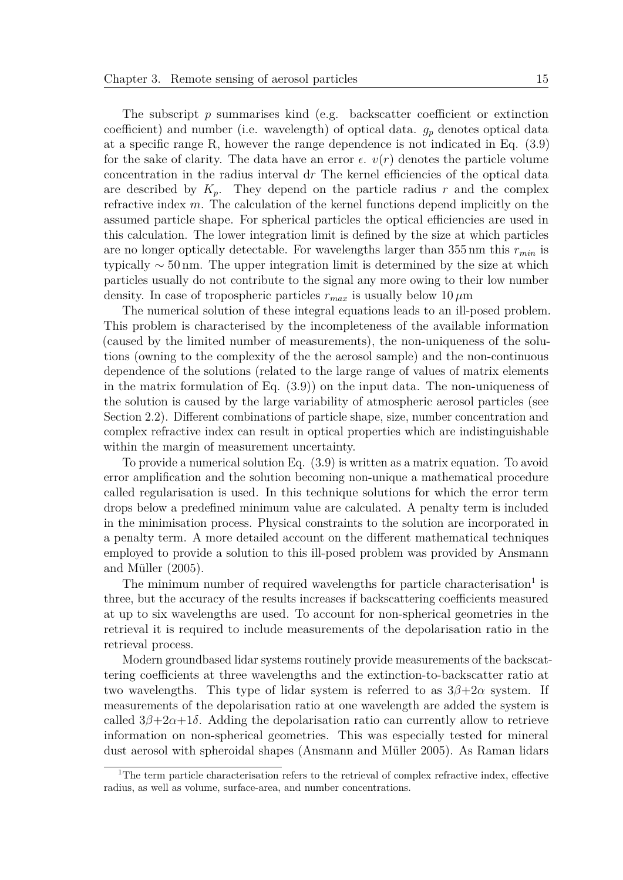The subscript *p* summarises kind (e.g. backscatter coefficient or extinction coefficient) and number (i.e. wavelength) of optical data.  $g_p$  denotes optical data at a specific range R, however the range dependence is not indicated in Eq. (3.9) for the sake of clarity. The data have an error  $\epsilon$ .  $v(r)$  denotes the particle volume concentration in the radius interval d*r* The kernel efficiencies of the optical data are described by  $K_p$ . They depend on the particle radius  $r$  and the complex refractive index *m*. The calculation of the kernel functions depend implicitly on the assumed particle shape. For spherical particles the optical efficiencies are used in this calculation. The lower integration limit is defined by the size at which particles are no longer optically detectable. For wavelengths larger than 355 nm this *rmin* is typically  $\sim$  50 nm. The upper integration limit is determined by the size at which particles usually do not contribute to the signal any more owing to their low number density. In case of tropospheric particles  $r_{max}$  is usually below 10  $\mu$ m

The numerical solution of these integral equations leads to an ill-posed problem. This problem is characterised by the incompleteness of the available information (caused by the limited number of measurements), the non-uniqueness of the solutions (owning to the complexity of the the aerosol sample) and the non-continuous dependence of the solutions (related to the large range of values of matrix elements in the matrix formulation of Eq. (3.9)) on the input data. The non-uniqueness of the solution is caused by the large variability of atmospheric aerosol particles (see Section 2.2). Different combinations of particle shape, size, number concentration and complex refractive index can result in optical properties which are indistinguishable within the margin of measurement uncertainty.

To provide a numerical solution Eq. (3.9) is written as a matrix equation. To avoid error amplification and the solution becoming non-unique a mathematical procedure called regularisation is used. In this technique solutions for which the error term drops below a predefined minimum value are calculated. A penalty term is included in the minimisation process. Physical constraints to the solution are incorporated in a penalty term. A more detailed account on the different mathematical techniques employed to provide a solution to this ill-posed problem was provided by Ansmann and Müller (2005).

The minimum number of required wavelengths for particle characterisation<sup>1</sup> is three, but the accuracy of the results increases if backscattering coefficients measured at up to six wavelengths are used. To account for non-spherical geometries in the retrieval it is required to include measurements of the depolarisation ratio in the retrieval process.

Modern groundbased lidar systems routinely provide measurements of the backscattering coefficients at three wavelengths and the extinction-to-backscatter ratio at two wavelengths. This type of lidar system is referred to as  $3\beta+2\alpha$  system. If measurements of the depolarisation ratio at one wavelength are added the system is called  $3\beta + 2\alpha + 1\delta$ . Adding the depolarisation ratio can currently allow to retrieve information on non-spherical geometries. This was especially tested for mineral dust aerosol with spheroidal shapes (Ansmann and Müller 2005). As Raman lidars

<sup>&</sup>lt;sup>1</sup>The term particle characterisation refers to the retrieval of complex refractive index, effective radius, as well as volume, surface-area, and number concentrations.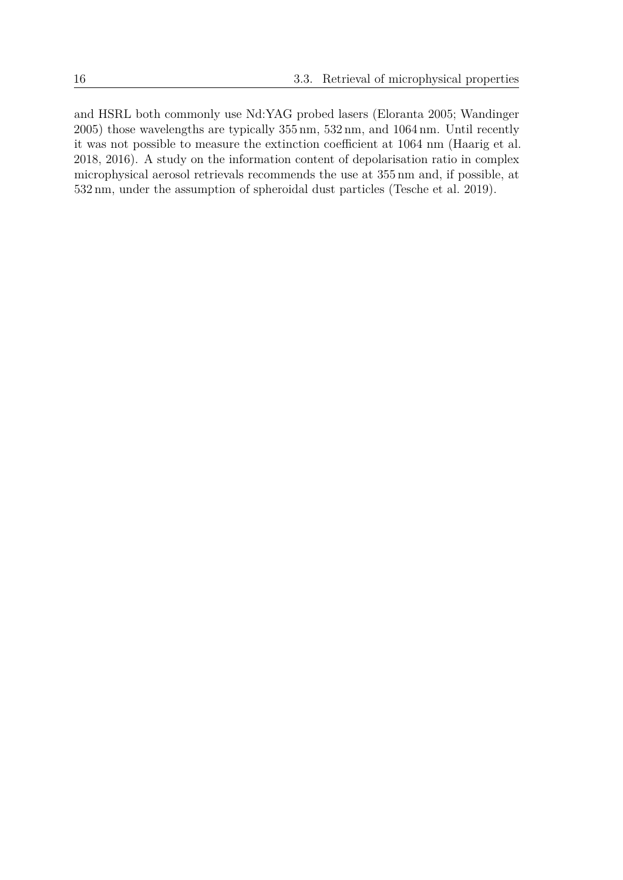and HSRL both commonly use Nd:YAG probed lasers (Eloranta 2005; Wandinger 2005) those wavelengths are typically 355 nm, 532 nm, and 1064 nm. Until recently it was not possible to measure the extinction coefficient at 1064 nm (Haarig et al. 2018, 2016). A study on the information content of depolarisation ratio in complex microphysical aerosol retrievals recommends the use at 355 nm and, if possible, at 532 nm, under the assumption of spheroidal dust particles (Tesche et al. 2019).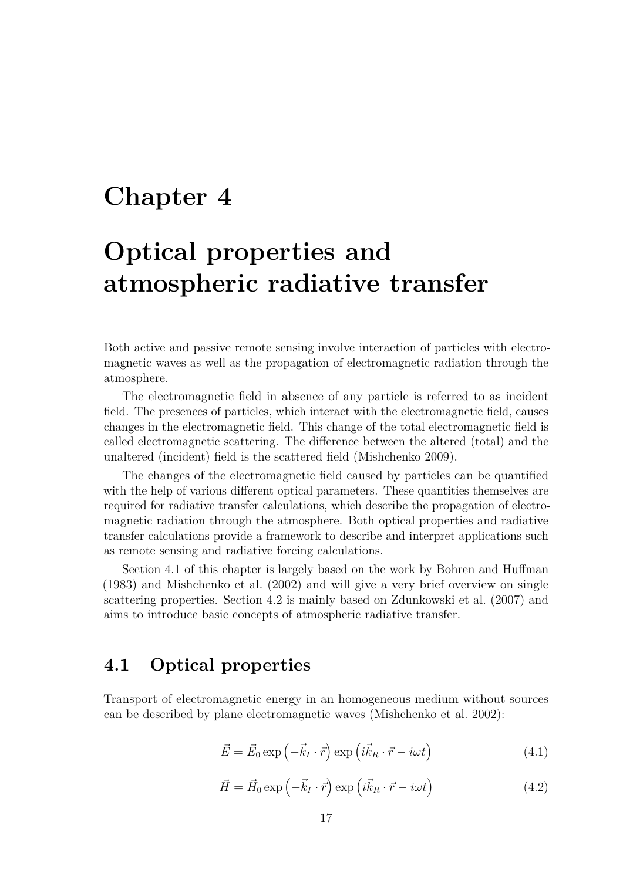# **Chapter 4**

# **Optical properties and atmospheric radiative transfer**

Both active and passive remote sensing involve interaction of particles with electromagnetic waves as well as the propagation of electromagnetic radiation through the atmosphere.

The electromagnetic field in absence of any particle is referred to as incident field. The presences of particles, which interact with the electromagnetic field, causes changes in the electromagnetic field. This change of the total electromagnetic field is called electromagnetic scattering. The difference between the altered (total) and the unaltered (incident) field is the scattered field (Mishchenko 2009).

The changes of the electromagnetic field caused by particles can be quantified with the help of various different optical parameters. These quantities themselves are required for radiative transfer calculations, which describe the propagation of electromagnetic radiation through the atmosphere. Both optical properties and radiative transfer calculations provide a framework to describe and interpret applications such as remote sensing and radiative forcing calculations.

Section 4.1 of this chapter is largely based on the work by Bohren and Huffman (1983) and Mishchenko et al. (2002) and will give a very brief overview on single scattering properties. Section 4.2 is mainly based on Zdunkowski et al. (2007) and aims to introduce basic concepts of atmospheric radiative transfer.

#### **4.1 Optical properties**

Transport of electromagnetic energy in an homogeneous medium without sources can be described by plane electromagnetic waves (Mishchenko et al. 2002):

$$
\vec{E} = \vec{E}_0 \exp\left(-\vec{k}_I \cdot \vec{r}\right) \exp\left(i\vec{k}_R \cdot \vec{r} - i\omega t\right)
$$
\n(4.1)

$$
\vec{H} = \vec{H}_0 \exp\left(-\vec{k}_I \cdot \vec{r}\right) \exp\left(i\vec{k}_R \cdot \vec{r} - i\omega t\right)
$$
(4.2)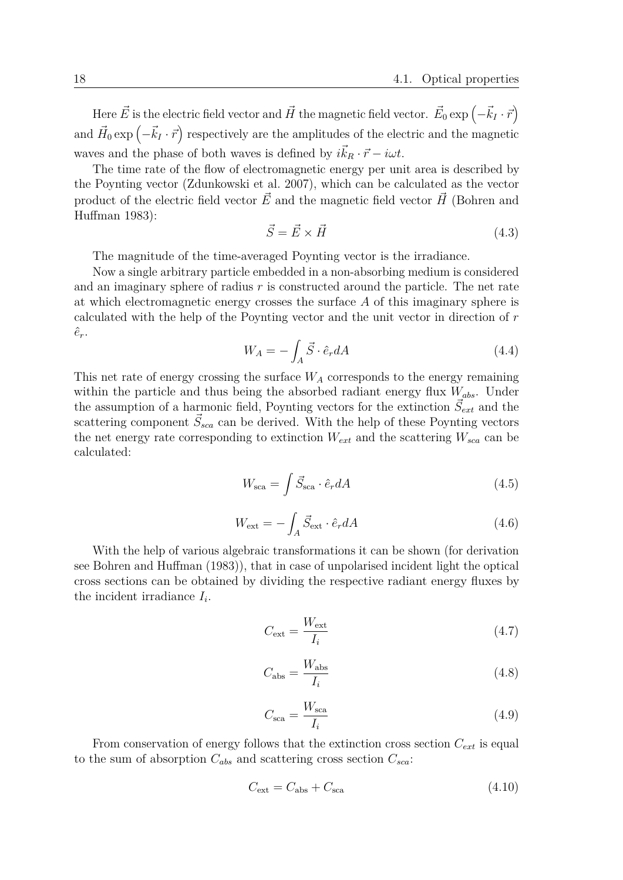Here  $\vec{E}$  is the electric field vector and  $\vec{H}$  the magnetic field vector.  $\vec{E}_0 \exp \left(-\vec{k}_I \cdot \vec{r}\right)$ and  $\vec{H}_0 \exp\left(-\vec{k}_I \cdot \vec{r}\right)$  respectively are the amplitudes of the electric and the magnetic waves and the phase of both waves is defined by  $i\vec{k}_R \cdot \vec{r} - i\omega t$ .

The time rate of the flow of electromagnetic energy per unit area is described by the Poynting vector (Zdunkowski et al. 2007), which can be calculated as the vector product of the electric field vector  $\vec{E}$  and the magnetic field vector  $\vec{H}$  (Bohren and Huffman 1983):

$$
\vec{S} = \vec{E} \times \vec{H} \tag{4.3}
$$

The magnitude of the time-averaged Poynting vector is the irradiance.

Now a single arbitrary particle embedded in a non-absorbing medium is considered and an imaginary sphere of radius *r* is constructed around the particle. The net rate at which electromagnetic energy crosses the surface *A* of this imaginary sphere is calculated with the help of the Poynting vector and the unit vector in direction of *r*  $\hat{e}_r$ .

$$
W_A = -\int_A \vec{S} \cdot \hat{e}_r dA \tag{4.4}
$$

This net rate of energy crossing the surface  $W_A$  corresponds to the energy remaining within the particle and thus being the absorbed radiant energy flux *Wabs*. Under the assumption of a harmonic field, Poynting vectors for the extinction  $\vec{S}_{ext}$  and the scattering component  $\vec{S}_{sca}$  can be derived. With the help of these Poynting vectors the net energy rate corresponding to extinction  $W_{ext}$  and the scattering  $W_{sca}$  can be calculated:

$$
W_{\text{sca}} = \int \vec{S}_{\text{sca}} \cdot \hat{e}_r dA \tag{4.5}
$$

$$
W_{\text{ext}} = -\int_{A} \vec{S}_{\text{ext}} \cdot \hat{e}_r dA \tag{4.6}
$$

With the help of various algebraic transformations it can be shown (for derivation see Bohren and Huffman (1983)), that in case of unpolarised incident light the optical cross sections can be obtained by dividing the respective radiant energy fluxes by the incident irradiance  $I_i$ .

$$
C_{\text{ext}} = \frac{W_{\text{ext}}}{I_i} \tag{4.7}
$$

$$
C_{\rm abs} = \frac{W_{\rm abs}}{I_i} \tag{4.8}
$$

$$
C_{\rm sca} = \frac{W_{\rm sca}}{I_i} \tag{4.9}
$$

From conservation of energy follows that the extinction cross section *Cext* is equal to the sum of absorption  $C_{abs}$  and scattering cross section  $C_{sca}$ :

$$
C_{\text{ext}} = C_{\text{abs}} + C_{\text{sca}} \tag{4.10}
$$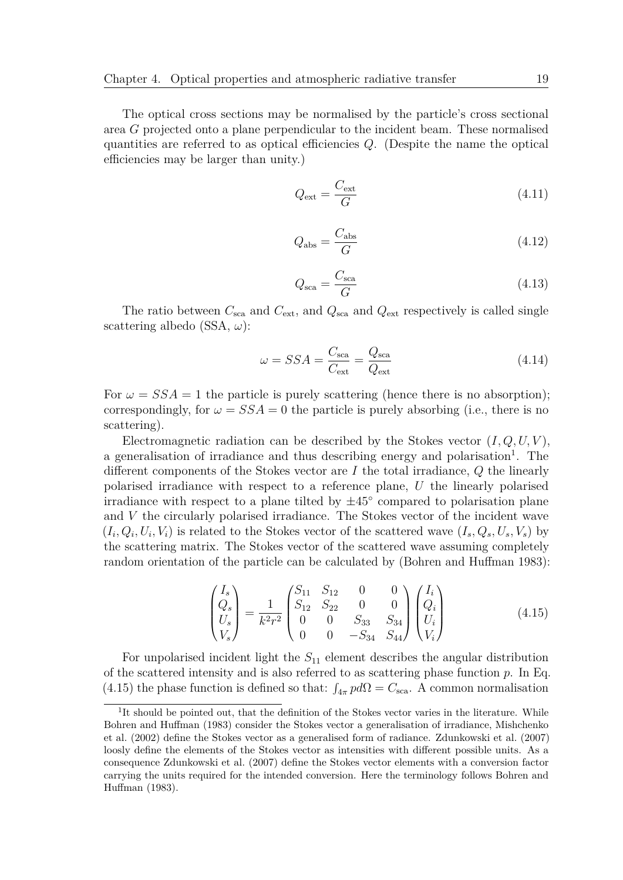The optical cross sections may be normalised by the particle's cross sectional area *G* projected onto a plane perpendicular to the incident beam. These normalised quantities are referred to as optical efficiencies *Q*. (Despite the name the optical efficiencies may be larger than unity.)

$$
Q_{\text{ext}} = \frac{C_{\text{ext}}}{G} \tag{4.11}
$$

$$
Q_{\rm abs} = \frac{C_{\rm abs}}{G} \tag{4.12}
$$

$$
Q_{\rm sca} = \frac{C_{\rm sca}}{G} \tag{4.13}
$$

The ratio between  $C_{\text{sca}}$  and  $C_{\text{ext}}$ , and  $Q_{\text{sca}}$  and  $Q_{\text{ext}}$  respectively is called single scattering albedo (SSA, *ω*):

$$
\omega = SSA = \frac{C_{\text{sca}}}{C_{\text{ext}}} = \frac{Q_{\text{sca}}}{Q_{\text{ext}}} \tag{4.14}
$$

For  $\omega = SSA = 1$  the particle is purely scattering (hence there is no absorption); correspondingly, for  $\omega = SSA = 0$  the particle is purely absorbing (i.e., there is no scattering).

Electromagnetic radiation can be described by the Stokes vector  $(I, Q, U, V)$ , a generalisation of irradiance and thus describing energy and polarisation<sup>1</sup>. The different components of the Stokes vector are *I* the total irradiance, *Q* the linearly polarised irradiance with respect to a reference plane, *U* the linearly polarised irradiance with respect to a plane tilted by  $\pm 45^{\circ}$  compared to polarisation plane and *V* the circularly polarised irradiance. The Stokes vector of the incident wave  $(I_i, Q_i, U_i, V_i)$  is related to the Stokes vector of the scattered wave  $(I_s, Q_s, U_s, V_s)$  by the scattering matrix. The Stokes vector of the scattered wave assuming completely random orientation of the particle can be calculated by (Bohren and Huffman 1983):

$$
\begin{pmatrix} I_s \\ Q_s \\ U_s \\ V_s \end{pmatrix} = \frac{1}{k^2 r^2} \begin{pmatrix} S_{11} & S_{12} & 0 & 0 \\ S_{12} & S_{22} & 0 & 0 \\ 0 & 0 & S_{33} & S_{34} \\ 0 & 0 & -S_{34} & S_{44} \end{pmatrix} \begin{pmatrix} I_i \\ Q_i \\ U_i \\ V_i \end{pmatrix} \tag{4.15}
$$

For unpolarised incident light the  $S_{11}$  element describes the angular distribution of the scattered intensity and is also referred to as scattering phase function *p*. In Eq. (4.15) the phase function is defined so that:  $\int_{4\pi} p d\Omega = C_{\text{sea}}$ . A common normalisation

<sup>&</sup>lt;sup>1</sup>It should be pointed out, that the definition of the Stokes vector varies in the literature. While Bohren and Huffman (1983) consider the Stokes vector a generalisation of irradiance, Mishchenko et al. (2002) define the Stokes vector as a generalised form of radiance. Zdunkowski et al. (2007) loosly define the elements of the Stokes vector as intensities with different possible units. As a consequence Zdunkowski et al. (2007) define the Stokes vector elements with a conversion factor carrying the units required for the intended conversion. Here the terminology follows Bohren and Huffman (1983).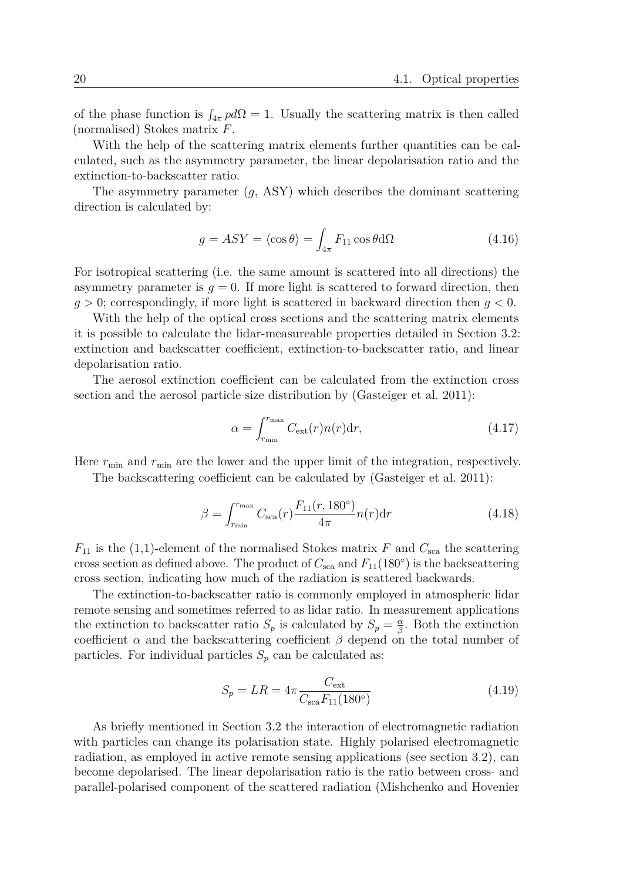of the phase function is  $\int_{4\pi} p d\Omega = 1$ . Usually the scattering matrix is then called (normalised) Stokes matrix *F*.

With the help of the scattering matrix elements further quantities can be calculated, such as the asymmetry parameter, the linear depolarisation ratio and the extinction-to-backscatter ratio.

The asymmetry parameter (*g*, ASY) which describes the dominant scattering direction is calculated by:

$$
g = ASY = \langle \cos \theta \rangle = \int_{4\pi} F_{11} \cos \theta \, d\Omega \tag{4.16}
$$

For isotropical scattering (i.e. the same amount is scattered into all directions) the asymmetry parameter is  $g = 0$ . If more light is scattered to forward direction, then *g >* 0; correspondingly, if more light is scattered in backward direction then *g <* 0.

With the help of the optical cross sections and the scattering matrix elements it is possible to calculate the lidar-measureable properties detailed in Section 3.2: extinction and backscatter coefficient, extinction-to-backscatter ratio, and linear depolarisation ratio.

The aerosol extinction coefficient can be calculated from the extinction cross section and the aerosol particle size distribution by (Gasteiger et al. 2011):

$$
\alpha = \int_{r_{\min}}^{r_{\max}} C_{\text{ext}}(r) n(r) \, \text{d}r,\tag{4.17}
$$

Here  $r_{\min}$  and  $r_{\min}$  are the lower and the upper limit of the integration, respectively.

The backscattering coefficient can be calculated by (Gasteiger et al. 2011):

$$
\beta = \int_{r_{\min}}^{r_{\max}} C_{\rm sca}(r) \frac{F_{11}(r, 180^{\circ})}{4\pi} n(r) dr \tag{4.18}
$$

 $F_{11}$  is the (1,1)-element of the normalised Stokes matrix *F* and  $C_{\text{sca}}$  the scattering cross section as defined above. The product of  $C_{\text{sca}}$  and  $F_{11}(180°)$  is the backscattering cross section, indicating how much of the radiation is scattered backwards.

The extinction-to-backscatter ratio is commonly employed in atmospheric lidar remote sensing and sometimes referred to as lidar ratio. In measurement applications the extinction to backscatter ratio  $S_p$  is calculated by  $S_p = \frac{\alpha}{\beta}$ *β* . Both the extinction coefficient  $\alpha$  and the backscattering coefficient  $\beta$  depend on the total number of particles. For individual particles  $S_p$  can be calculated as:

$$
S_p = LR = 4\pi \frac{C_{\text{ext}}}{C_{\text{sea}} F_{11}(180^\circ)}
$$
(4.19)

As briefly mentioned in Section 3.2 the interaction of electromagnetic radiation with particles can change its polarisation state. Highly polarised electromagnetic radiation, as employed in active remote sensing applications (see section 3.2), can become depolarised. The linear depolarisation ratio is the ratio between cross- and parallel-polarised component of the scattered radiation (Mishchenko and Hovenier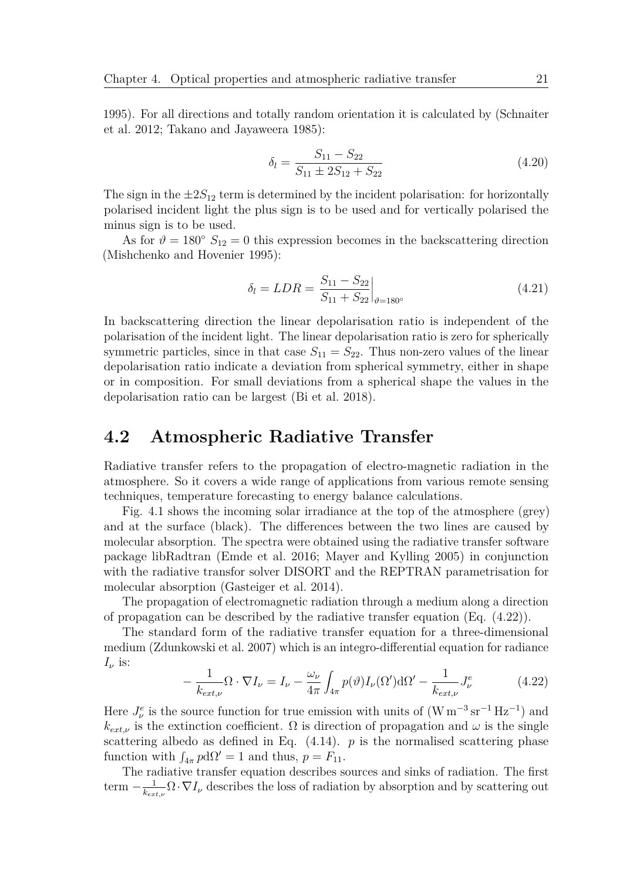1995). For all directions and totally random orientation it is calculated by (Schnaiter et al. 2012; Takano and Jayaweera 1985):

$$
\delta_l = \frac{S_{11} - S_{22}}{S_{11} \pm 2S_{12} + S_{22}}\tag{4.20}
$$

The sign in the  $\pm 2S_{12}$  term is determined by the incident polarisation: for horizontally polarised incident light the plus sign is to be used and for vertically polarised the minus sign is to be used.

As for  $\vartheta = 180^\circ$   $S_{12} = 0$  this expression becomes in the backscattering direction (Mishchenko and Hovenier 1995):

$$
\delta_l = LDR = \frac{S_{11} - S_{22}}{S_{11} + S_{22}} \Big|_{\theta = 180^\circ} \tag{4.21}
$$

In backscattering direction the linear depolarisation ratio is independent of the polarisation of the incident light. The linear depolarisation ratio is zero for spherically symmetric particles, since in that case  $S_{11} = S_{22}$ . Thus non-zero values of the linear depolarisation ratio indicate a deviation from spherical symmetry, either in shape or in composition. For small deviations from a spherical shape the values in the depolarisation ratio can be largest (Bi et al. 2018).

#### **4.2 Atmospheric Radiative Transfer**

Radiative transfer refers to the propagation of electro-magnetic radiation in the atmosphere. So it covers a wide range of applications from various remote sensing techniques, temperature forecasting to energy balance calculations.

Fig. 4.1 shows the incoming solar irradiance at the top of the atmosphere (grey) and at the surface (black). The differences between the two lines are caused by molecular absorption. The spectra were obtained using the radiative transfer software package libRadtran (Emde et al. 2016; Mayer and Kylling 2005) in conjunction with the radiative transfor solver DISORT and the REPTRAN parametrisation for molecular absorption (Gasteiger et al. 2014).

The propagation of electromagnetic radiation through a medium along a direction of propagation can be described by the radiative transfer equation (Eq. (4.22)).

The standard form of the radiative transfer equation for a three-dimensional medium (Zdunkowski et al. 2007) which is an integro-differential equation for radiance  $I_{\nu}$  is:

$$
-\frac{1}{k_{ext,\nu}}\Omega \cdot \nabla I_{\nu} = I_{\nu} - \frac{\omega_{\nu}}{4\pi} \int_{4\pi} p(\vartheta) I_{\nu}(\Omega') d\Omega' - \frac{1}{k_{ext,\nu}} J_{\nu}^{e}
$$
(4.22)

Here  $J^e_\nu$  is the source function for true emission with units of  $(W m^{-3} s r^{-1} H z^{-1})$  and  $k_{ext,\nu}$  is the extinction coefficient.  $\Omega$  is direction of propagation and  $\omega$  is the single scattering albedo as defined in Eq.  $(4.14)$ . *p* is the normalised scattering phase function with  $\int_{4\pi} p \, d\Omega' = 1$  and thus,  $p = F_{11}$ .

The radiative transfer equation describes sources and sinks of radiation. The first term  $-\frac{1}{k}$  $\frac{1}{k_{ext,\nu}} \Omega \cdot \nabla I_{\nu}$  describes the loss of radiation by absorption and by scattering out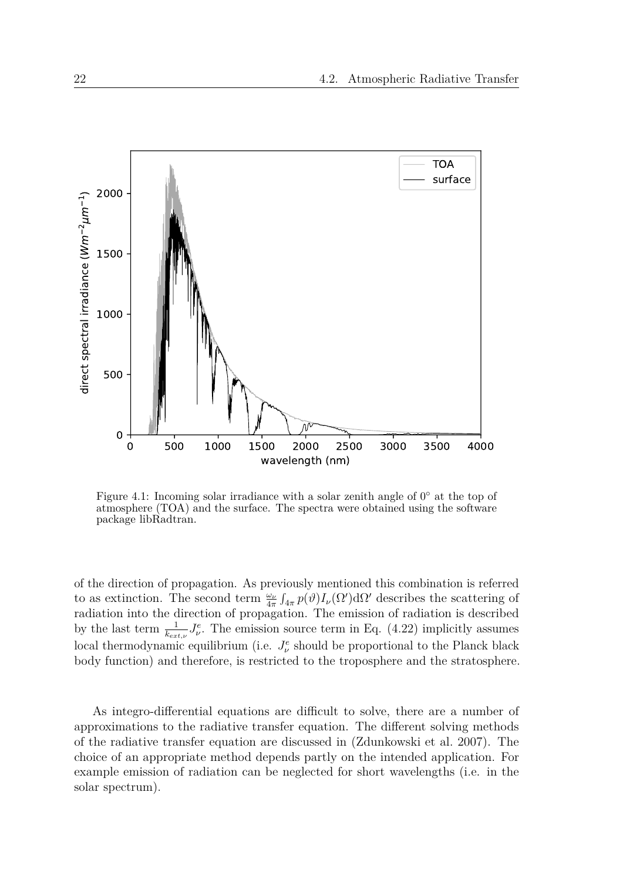

Figure 4.1: Incoming solar irradiance with a solar zenith angle of  $0^{\circ}$  at the top of atmosphere (TOA) and the surface. The spectra were obtained using the software package libRadtran.

of the direction of propagation. As previously mentioned this combination is referred to as extinction. The second term  $\frac{\omega_\nu}{4\pi} \int_{4\pi} p(\vartheta) I_\nu(\Omega') d\Omega'$  describes the scattering of radiation into the direction of propagation. The emission of radiation is described by the last term  $\frac{1}{k_{ext,\nu}} J^e_{\nu}$ . The emission source term in Eq. (4.22) implicitly assumes local thermodynamic equilibrium (i.e.  $J_{\nu}^e$  should be proportional to the Planck black body function) and therefore, is restricted to the troposphere and the stratosphere.

As integro-differential equations are difficult to solve, there are a number of approximations to the radiative transfer equation. The different solving methods of the radiative transfer equation are discussed in (Zdunkowski et al. 2007). The choice of an appropriate method depends partly on the intended application. For example emission of radiation can be neglected for short wavelengths (i.e. in the solar spectrum).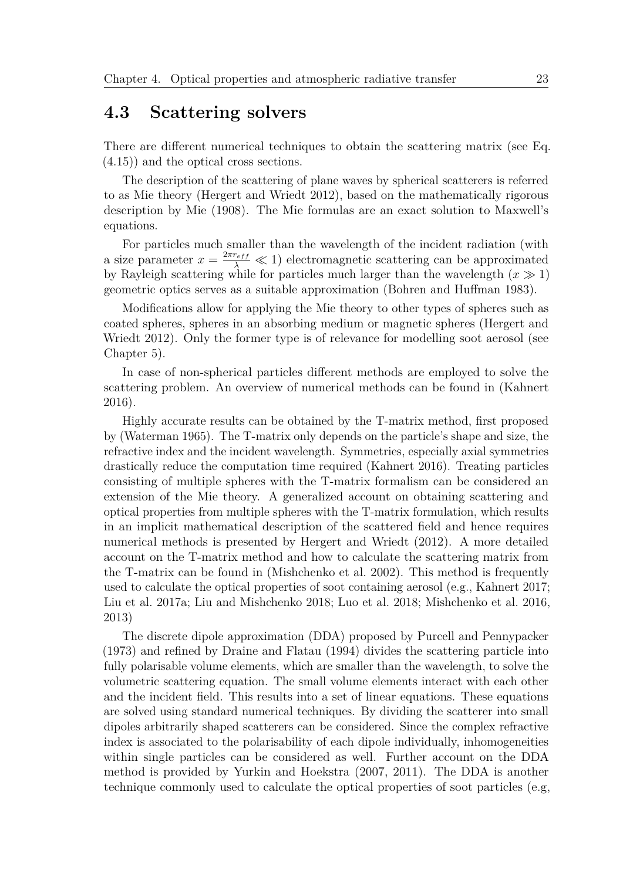#### **4.3 Scattering solvers**

There are different numerical techniques to obtain the scattering matrix (see Eq. (4.15)) and the optical cross sections.

The description of the scattering of plane waves by spherical scatterers is referred to as Mie theory (Hergert and Wriedt 2012), based on the mathematically rigorous description by Mie (1908). The Mie formulas are an exact solution to Maxwell's equations.

For particles much smaller than the wavelength of the incident radiation (with a size parameter  $x = \frac{2\pi r_{eff}}{\lambda} \ll 1$ ) electromagnetic scattering can be approximated by Rayleigh scattering while for particles much larger than the wavelength  $(x \gg 1)$ geometric optics serves as a suitable approximation (Bohren and Huffman 1983).

Modifications allow for applying the Mie theory to other types of spheres such as coated spheres, spheres in an absorbing medium or magnetic spheres (Hergert and Wriedt 2012). Only the former type is of relevance for modelling soot aerosol (see Chapter 5).

In case of non-spherical particles different methods are employed to solve the scattering problem. An overview of numerical methods can be found in (Kahnert 2016).

Highly accurate results can be obtained by the T-matrix method, first proposed by (Waterman 1965). The T-matrix only depends on the particle's shape and size, the refractive index and the incident wavelength. Symmetries, especially axial symmetries drastically reduce the computation time required (Kahnert 2016). Treating particles consisting of multiple spheres with the T-matrix formalism can be considered an extension of the Mie theory. A generalized account on obtaining scattering and optical properties from multiple spheres with the T-matrix formulation, which results in an implicit mathematical description of the scattered field and hence requires numerical methods is presented by Hergert and Wriedt (2012). A more detailed account on the T-matrix method and how to calculate the scattering matrix from the T-matrix can be found in (Mishchenko et al. 2002). This method is frequently used to calculate the optical properties of soot containing aerosol (e.g., Kahnert 2017; Liu et al. 2017a; Liu and Mishchenko 2018; Luo et al. 2018; Mishchenko et al. 2016, 2013)

The discrete dipole approximation (DDA) proposed by Purcell and Pennypacker (1973) and refined by Draine and Flatau (1994) divides the scattering particle into fully polarisable volume elements, which are smaller than the wavelength, to solve the volumetric scattering equation. The small volume elements interact with each other and the incident field. This results into a set of linear equations. These equations are solved using standard numerical techniques. By dividing the scatterer into small dipoles arbitrarily shaped scatterers can be considered. Since the complex refractive index is associated to the polarisability of each dipole individually, inhomogeneities within single particles can be considered as well. Further account on the DDA method is provided by Yurkin and Hoekstra (2007, 2011). The DDA is another technique commonly used to calculate the optical properties of soot particles (e.g,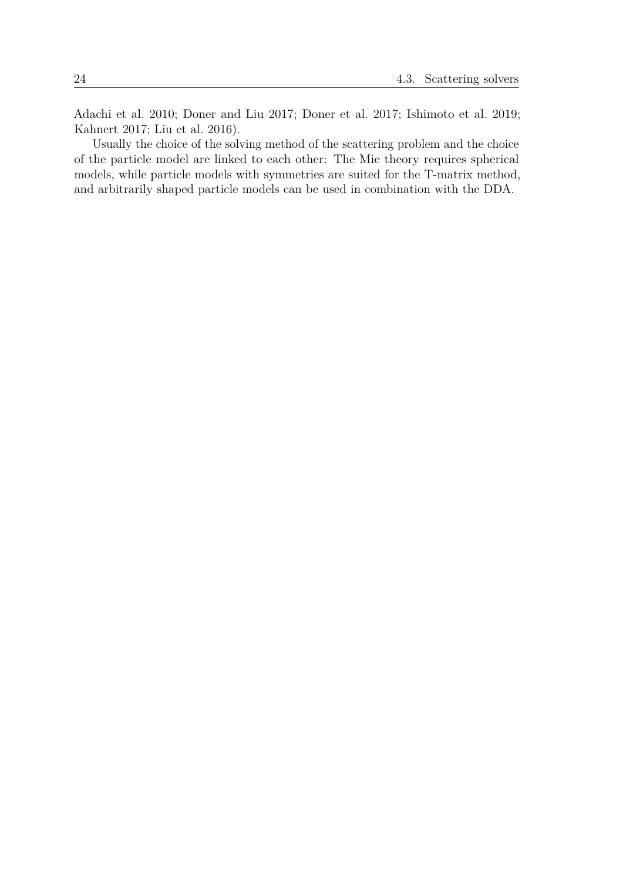Adachi et al. 2010; Doner and Liu 2017; Doner et al. 2017; Ishimoto et al. 2019; Kahnert 2017; Liu et al. 2016).

Usually the choice of the solving method of the scattering problem and the choice of the particle model are linked to each other: The Mie theory requires spherical models, while particle models with symmetries are suited for the T-matrix method, and arbitrarily shaped particle models can be used in combination with the DDA.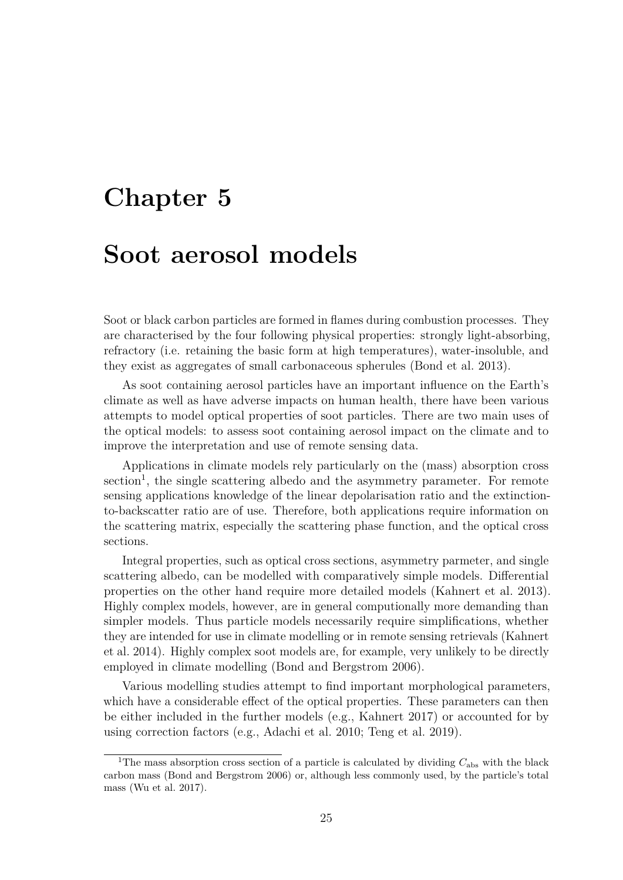# **Chapter 5 Soot aerosol models**

Soot or black carbon particles are formed in flames during combustion processes. They are characterised by the four following physical properties: strongly light-absorbing, refractory (i.e. retaining the basic form at high temperatures), water-insoluble, and they exist as aggregates of small carbonaceous spherules (Bond et al. 2013).

As soot containing aerosol particles have an important influence on the Earth's climate as well as have adverse impacts on human health, there have been various attempts to model optical properties of soot particles. There are two main uses of the optical models: to assess soot containing aerosol impact on the climate and to improve the interpretation and use of remote sensing data.

Applications in climate models rely particularly on the (mass) absorption cross section<sup>1</sup>, the single scattering albedo and the asymmetry parameter. For remote sensing applications knowledge of the linear depolarisation ratio and the extinctionto-backscatter ratio are of use. Therefore, both applications require information on the scattering matrix, especially the scattering phase function, and the optical cross sections.

Integral properties, such as optical cross sections, asymmetry parmeter, and single scattering albedo, can be modelled with comparatively simple models. Differential properties on the other hand require more detailed models (Kahnert et al. 2013). Highly complex models, however, are in general computionally more demanding than simpler models. Thus particle models necessarily require simplifications, whether they are intended for use in climate modelling or in remote sensing retrievals (Kahnert et al. 2014). Highly complex soot models are, for example, very unlikely to be directly employed in climate modelling (Bond and Bergstrom 2006).

Various modelling studies attempt to find important morphological parameters, which have a considerable effect of the optical properties. These parameters can then be either included in the further models (e.g., Kahnert 2017) or accounted for by using correction factors (e.g., Adachi et al. 2010; Teng et al. 2019).

<sup>&</sup>lt;sup>1</sup>The mass absorption cross section of a particle is calculated by dividing  $C_{\text{abs}}$  with the black carbon mass (Bond and Bergstrom 2006) or, although less commonly used, by the particle's total mass (Wu et al. 2017).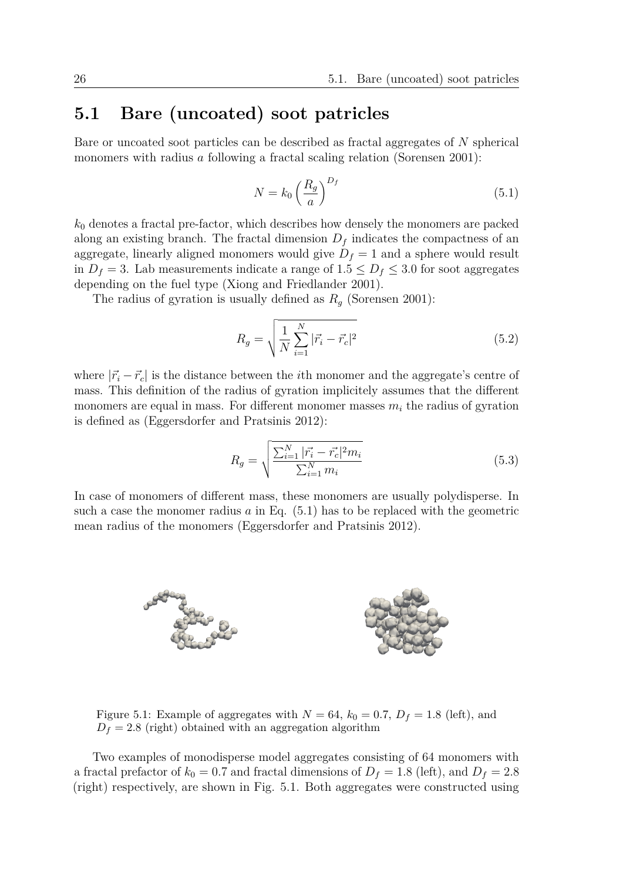## **5.1 Bare (uncoated) soot patricles**

Bare or uncoated soot particles can be described as fractal aggregates of *N* spherical monomers with radius *a* following a fractal scaling relation (Sorensen 2001):

$$
N = k_0 \left(\frac{R_g}{a}\right)^{D_f} \tag{5.1}
$$

 $k_0$  denotes a fractal pre-factor, which describes how densely the monomers are packed along an existing branch. The fractal dimension  $D_f$  indicates the compactness of an aggregate, linearly aligned monomers would give  $D_f = 1$  and a sphere would result in  $D_f = 3$ . Lab measurements indicate a range of  $1.5 \leq D_f \leq 3.0$  for soot aggregates depending on the fuel type (Xiong and Friedlander 2001).

The radius of gyration is usually defined as  $R_q$  (Sorensen 2001):

$$
R_g = \sqrt{\frac{1}{N} \sum_{i=1}^{N} |\vec{r_i} - \vec{r_c}|^2}
$$
 (5.2)

where  $|\vec{r_i} - \vec{r_c}|$  is the distance between the *i*th monomer and the aggregate's centre of mass. This definition of the radius of gyration implicitely assumes that the different monomers are equal in mass. For different monomer masses  $m_i$  the radius of gyration is defined as (Eggersdorfer and Pratsinis 2012):

$$
R_g = \sqrt{\frac{\sum_{i=1}^{N} |\vec{r_i} - \vec{r_c}|^2 m_i}{\sum_{i=1}^{N} m_i}}
$$
(5.3)

In case of monomers of different mass, these monomers are usually polydisperse. In such a case the monomer radius *a* in Eq. (5.1) has to be replaced with the geometric mean radius of the monomers (Eggersdorfer and Pratsinis 2012).



Figure 5.1: Example of aggregates with  $N = 64$ ,  $k_0 = 0.7$ ,  $D_f = 1.8$  (left), and  $D_f = 2.8$  (right) obtained with an aggregation algorithm

Two examples of monodisperse model aggregates consisting of 64 monomers with a fractal prefactor of  $k_0 = 0.7$  and fractal dimensions of  $D_f = 1.8$  (left), and  $D_f = 2.8$ (right) respectively, are shown in Fig. 5.1. Both aggregates were constructed using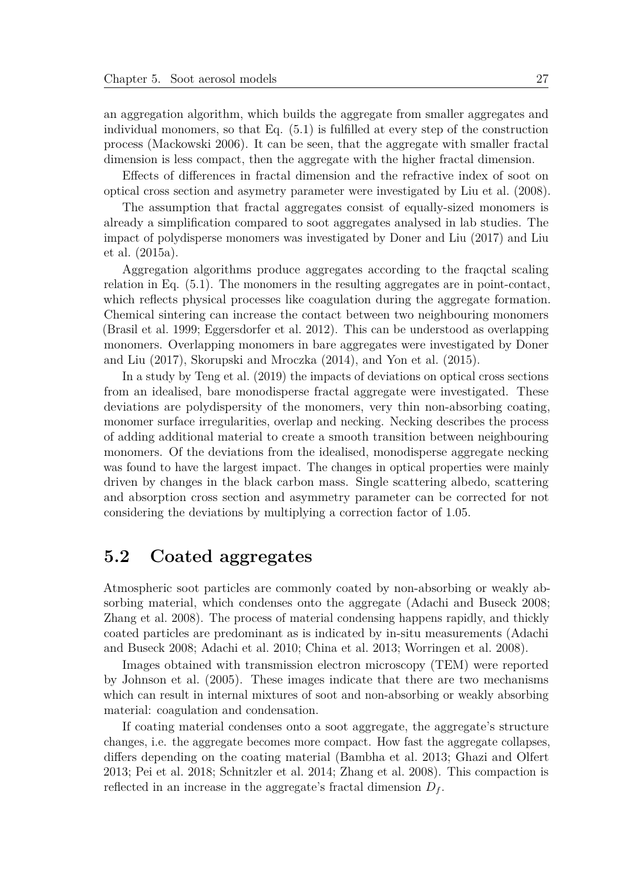an aggregation algorithm, which builds the aggregate from smaller aggregates and individual monomers, so that Eq. (5.1) is fulfilled at every step of the construction process (Mackowski 2006). It can be seen, that the aggregate with smaller fractal dimension is less compact, then the aggregate with the higher fractal dimension.

Effects of differences in fractal dimension and the refractive index of soot on optical cross section and asymetry parameter were investigated by Liu et al. (2008).

The assumption that fractal aggregates consist of equally-sized monomers is already a simplification compared to soot aggregates analysed in lab studies. The impact of polydisperse monomers was investigated by Doner and Liu (2017) and Liu et al. (2015a).

Aggregation algorithms produce aggregates according to the fraqctal scaling relation in Eq. (5.1). The monomers in the resulting aggregates are in point-contact, which reflects physical processes like coagulation during the aggregate formation. Chemical sintering can increase the contact between two neighbouring monomers (Brasil et al. 1999; Eggersdorfer et al. 2012). This can be understood as overlapping monomers. Overlapping monomers in bare aggregates were investigated by Doner and Liu (2017), Skorupski and Mroczka (2014), and Yon et al. (2015).

In a study by Teng et al. (2019) the impacts of deviations on optical cross sections from an idealised, bare monodisperse fractal aggregate were investigated. These deviations are polydispersity of the monomers, very thin non-absorbing coating, monomer surface irregularities, overlap and necking. Necking describes the process of adding additional material to create a smooth transition between neighbouring monomers. Of the deviations from the idealised, monodisperse aggregate necking was found to have the largest impact. The changes in optical properties were mainly driven by changes in the black carbon mass. Single scattering albedo, scattering and absorption cross section and asymmetry parameter can be corrected for not considering the deviations by multiplying a correction factor of 1.05.

### **5.2 Coated aggregates**

Atmospheric soot particles are commonly coated by non-absorbing or weakly absorbing material, which condenses onto the aggregate (Adachi and Buseck 2008; Zhang et al. 2008). The process of material condensing happens rapidly, and thickly coated particles are predominant as is indicated by in-situ measurements (Adachi and Buseck 2008; Adachi et al. 2010; China et al. 2013; Worringen et al. 2008).

Images obtained with transmission electron microscopy (TEM) were reported by Johnson et al. (2005). These images indicate that there are two mechanisms which can result in internal mixtures of soot and non-absorbing or weakly absorbing material: coagulation and condensation.

If coating material condenses onto a soot aggregate, the aggregate's structure changes, i.e. the aggregate becomes more compact. How fast the aggregate collapses, differs depending on the coating material (Bambha et al. 2013; Ghazi and Olfert 2013; Pei et al. 2018; Schnitzler et al. 2014; Zhang et al. 2008). This compaction is reflected in an increase in the aggregate's fractal dimension  $D_f$ .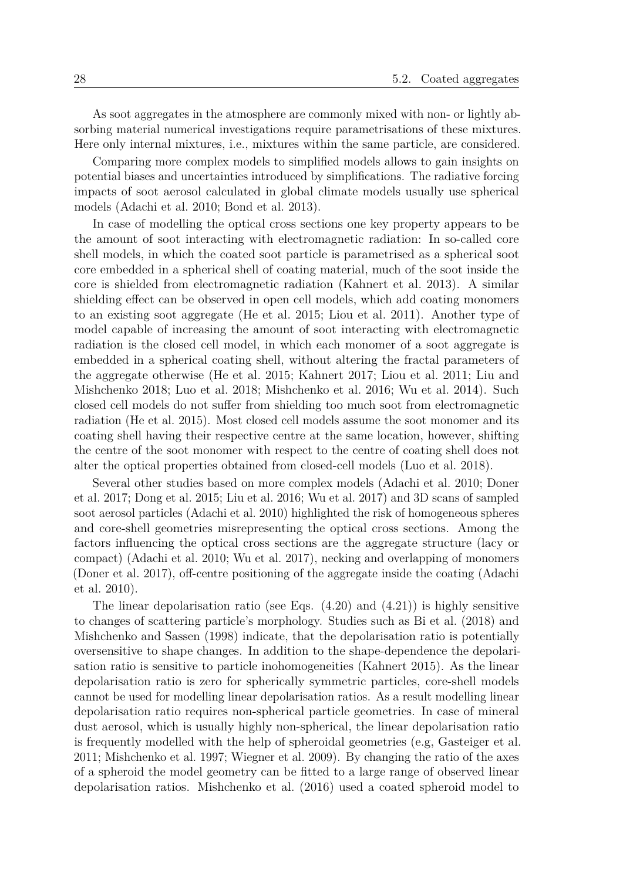As soot aggregates in the atmosphere are commonly mixed with non- or lightly absorbing material numerical investigations require parametrisations of these mixtures. Here only internal mixtures, i.e., mixtures within the same particle, are considered.

Comparing more complex models to simplified models allows to gain insights on potential biases and uncertainties introduced by simplifications. The radiative forcing impacts of soot aerosol calculated in global climate models usually use spherical models (Adachi et al. 2010; Bond et al. 2013).

In case of modelling the optical cross sections one key property appears to be the amount of soot interacting with electromagnetic radiation: In so-called core shell models, in which the coated soot particle is parametrised as a spherical soot core embedded in a spherical shell of coating material, much of the soot inside the core is shielded from electromagnetic radiation (Kahnert et al. 2013). A similar shielding effect can be observed in open cell models, which add coating monomers to an existing soot aggregate (He et al. 2015; Liou et al. 2011). Another type of model capable of increasing the amount of soot interacting with electromagnetic radiation is the closed cell model, in which each monomer of a soot aggregate is embedded in a spherical coating shell, without altering the fractal parameters of the aggregate otherwise (He et al. 2015; Kahnert 2017; Liou et al. 2011; Liu and Mishchenko 2018; Luo et al. 2018; Mishchenko et al. 2016; Wu et al. 2014). Such closed cell models do not suffer from shielding too much soot from electromagnetic radiation (He et al. 2015). Most closed cell models assume the soot monomer and its coating shell having their respective centre at the same location, however, shifting the centre of the soot monomer with respect to the centre of coating shell does not alter the optical properties obtained from closed-cell models (Luo et al. 2018).

Several other studies based on more complex models (Adachi et al. 2010; Doner et al. 2017; Dong et al. 2015; Liu et al. 2016; Wu et al. 2017) and 3D scans of sampled soot aerosol particles (Adachi et al. 2010) highlighted the risk of homogeneous spheres and core-shell geometries misrepresenting the optical cross sections. Among the factors influencing the optical cross sections are the aggregate structure (lacy or compact) (Adachi et al. 2010; Wu et al. 2017), necking and overlapping of monomers (Doner et al. 2017), off-centre positioning of the aggregate inside the coating (Adachi et al. 2010).

The linear depolarisation ratio (see Eqs.  $(4.20)$  and  $(4.21)$ ) is highly sensitive to changes of scattering particle's morphology. Studies such as Bi et al. (2018) and Mishchenko and Sassen (1998) indicate, that the depolarisation ratio is potentially oversensitive to shape changes. In addition to the shape-dependence the depolarisation ratio is sensitive to particle inohomogeneities (Kahnert 2015). As the linear depolarisation ratio is zero for spherically symmetric particles, core-shell models cannot be used for modelling linear depolarisation ratios. As a result modelling linear depolarisation ratio requires non-spherical particle geometries. In case of mineral dust aerosol, which is usually highly non-spherical, the linear depolarisation ratio is frequently modelled with the help of spheroidal geometries (e.g, Gasteiger et al. 2011; Mishchenko et al. 1997; Wiegner et al. 2009). By changing the ratio of the axes of a spheroid the model geometry can be fitted to a large range of observed linear depolarisation ratios. Mishchenko et al. (2016) used a coated spheroid model to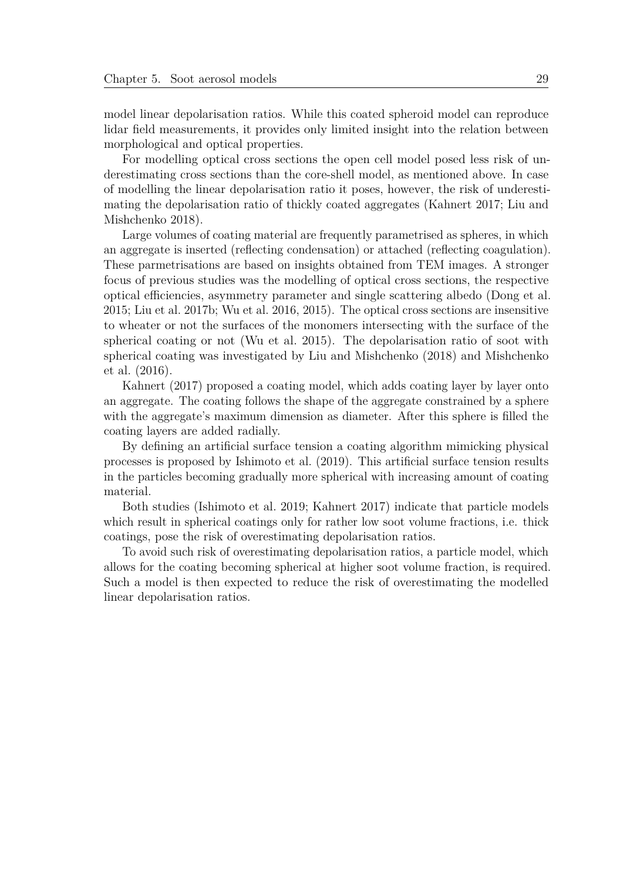model linear depolarisation ratios. While this coated spheroid model can reproduce lidar field measurements, it provides only limited insight into the relation between morphological and optical properties.

For modelling optical cross sections the open cell model posed less risk of underestimating cross sections than the core-shell model, as mentioned above. In case of modelling the linear depolarisation ratio it poses, however, the risk of underestimating the depolarisation ratio of thickly coated aggregates (Kahnert 2017; Liu and Mishchenko 2018).

Large volumes of coating material are frequently parametrised as spheres, in which an aggregate is inserted (reflecting condensation) or attached (reflecting coagulation). These parmetrisations are based on insights obtained from TEM images. A stronger focus of previous studies was the modelling of optical cross sections, the respective optical efficiencies, asymmetry parameter and single scattering albedo (Dong et al. 2015; Liu et al. 2017b; Wu et al. 2016, 2015). The optical cross sections are insensitive to wheater or not the surfaces of the monomers intersecting with the surface of the spherical coating or not (Wu et al. 2015). The depolarisation ratio of soot with spherical coating was investigated by Liu and Mishchenko (2018) and Mishchenko et al. (2016).

Kahnert (2017) proposed a coating model, which adds coating layer by layer onto an aggregate. The coating follows the shape of the aggregate constrained by a sphere with the aggregate's maximum dimension as diameter. After this sphere is filled the coating layers are added radially.

By defining an artificial surface tension a coating algorithm mimicking physical processes is proposed by Ishimoto et al. (2019). This artificial surface tension results in the particles becoming gradually more spherical with increasing amount of coating material.

Both studies (Ishimoto et al. 2019; Kahnert 2017) indicate that particle models which result in spherical coatings only for rather low soot volume fractions, i.e. thick coatings, pose the risk of overestimating depolarisation ratios.

To avoid such risk of overestimating depolarisation ratios, a particle model, which allows for the coating becoming spherical at higher soot volume fraction, is required. Such a model is then expected to reduce the risk of overestimating the modelled linear depolarisation ratios.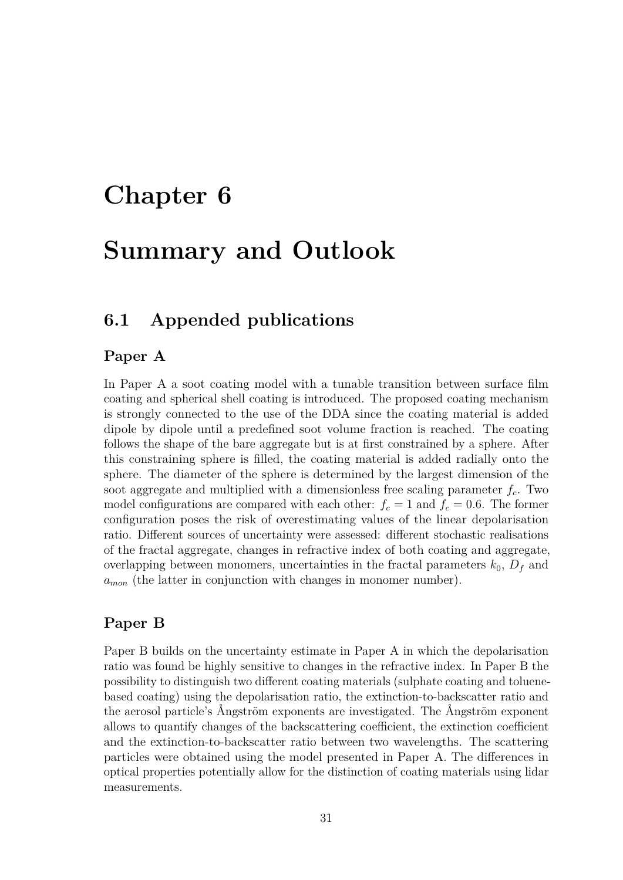# **Chapter 6**

# **Summary and Outlook**

### **6.1 Appended publications**

#### **Paper A**

In Paper A a soot coating model with a tunable transition between surface film coating and spherical shell coating is introduced. The proposed coating mechanism is strongly connected to the use of the DDA since the coating material is added dipole by dipole until a predefined soot volume fraction is reached. The coating follows the shape of the bare aggregate but is at first constrained by a sphere. After this constraining sphere is filled, the coating material is added radially onto the sphere. The diameter of the sphere is determined by the largest dimension of the soot aggregate and multiplied with a dimensionless free scaling parameter *fc*. Two model configurations are compared with each other:  $f_c = 1$  and  $f_c = 0.6$ . The former configuration poses the risk of overestimating values of the linear depolarisation ratio. Different sources of uncertainty were assessed: different stochastic realisations of the fractal aggregate, changes in refractive index of both coating and aggregate, overlapping between monomers, uncertainties in the fractal parameters  $k_0$ ,  $D_f$  and *amon* (the latter in conjunction with changes in monomer number).

#### **Paper B**

Paper B builds on the uncertainty estimate in Paper A in which the depolarisation ratio was found be highly sensitive to changes in the refractive index. In Paper B the possibility to distinguish two different coating materials (sulphate coating and toluenebased coating) using the depolarisation ratio, the extinction-to-backscatter ratio and the aerosol particle's Ångström exponents are investigated. The Ångström exponent allows to quantify changes of the backscattering coefficient, the extinction coefficient and the extinction-to-backscatter ratio between two wavelengths. The scattering particles were obtained using the model presented in Paper A. The differences in optical properties potentially allow for the distinction of coating materials using lidar measurements.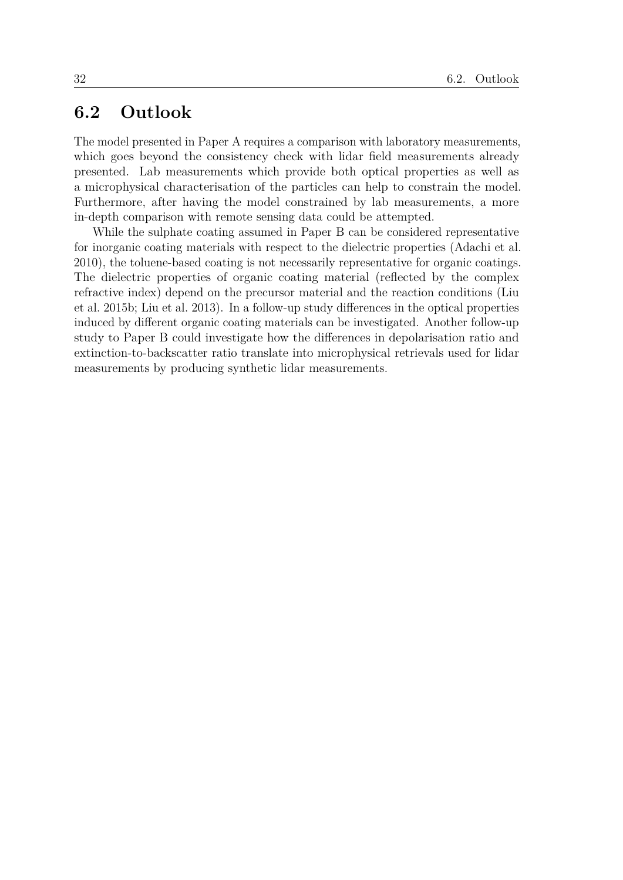### **6.2 Outlook**

The model presented in Paper A requires a comparison with laboratory measurements, which goes beyond the consistency check with lidar field measurements already presented. Lab measurements which provide both optical properties as well as a microphysical characterisation of the particles can help to constrain the model. Furthermore, after having the model constrained by lab measurements, a more in-depth comparison with remote sensing data could be attempted.

While the sulphate coating assumed in Paper B can be considered representative for inorganic coating materials with respect to the dielectric properties (Adachi et al. 2010), the toluene-based coating is not necessarily representative for organic coatings. The dielectric properties of organic coating material (reflected by the complex refractive index) depend on the precursor material and the reaction conditions (Liu et al. 2015b; Liu et al. 2013). In a follow-up study differences in the optical properties induced by different organic coating materials can be investigated. Another follow-up study to Paper B could investigate how the differences in depolarisation ratio and extinction-to-backscatter ratio translate into microphysical retrievals used for lidar measurements by producing synthetic lidar measurements.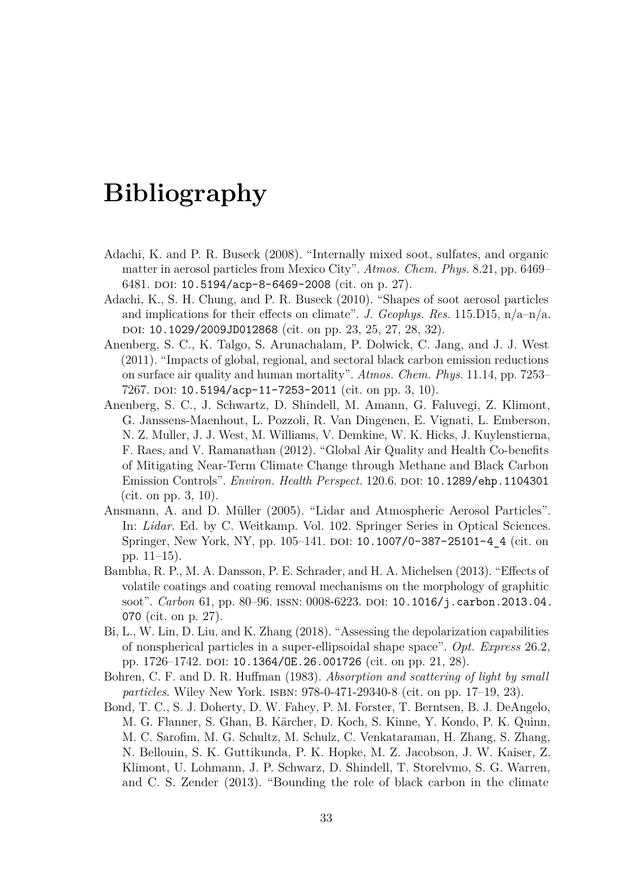# **Bibliography**

- Adachi, K. and P. R. Buseck (2008). "Internally mixed soot, sulfates, and organic matter in aerosol particles from Mexico City". *Atmos. Chem. Phys.* 8.21, pp. 6469– 6481. doi: [10.5194/acp-8-6469-2008](https://doi.org/10.5194/acp-8-6469-2008) (cit. on p. 27).
- Adachi, K., S. H. Chung, and P. R. Buseck (2010). "Shapes of soot aerosol particles and implications for their effects on climate". *J. Geophys. Res.* 115.D15, n/a–n/a. doi: [10.1029/2009JD012868](https://doi.org/10.1029/2009JD012868) (cit. on pp. 23, 25, 27, 28, 32).
- Anenberg, S. C., K. Talgo, S. Arunachalam, P. Dolwick, C. Jang, and J. J. West (2011). "Impacts of global, regional, and sectoral black carbon emission reductions on surface air quality and human mortality". *Atmos. Chem. Phys.* 11.14, pp. 7253– 7267. DOI:  $10.5194/acp-11-7253-2011$  (cit. on pp. 3, 10).
- Anenberg, S. C., J. Schwartz, D. Shindell, M. Amann, G. Faluvegi, Z. Klimont, G. Janssens-Maenhout, L. Pozzoli, R. Van Dingenen, E. Vignati, L. Emberson, N. Z. Muller, J. J. West, M. Williams, V. Demkine, W. K. Hicks, J. Kuylenstierna, F. Raes, and V. Ramanathan (2012). "Global Air Quality and Health Co-benefits of Mitigating Near-Term Climate Change through Methane and Black Carbon Emission Controls". *Environ. Health Perspect.* 120.6. doi: [10.1289/ehp.1104301](https://doi.org/10.1289/ehp.1104301) (cit. on pp. 3, 10).
- Ansmann, A. and D. Müller (2005). "Lidar and Atmospheric Aerosol Particles". In: *Lidar*. Ed. by C. Weitkamp. Vol. 102. Springer Series in Optical Sciences. Springer, New York, NY, pp. 105–141. DOI: [10.1007/0-387-25101-4\\_4](https://doi.org/10.1007/0-387-25101-4_4) (cit. on pp. 11–15).
- Bambha, R. P., M. A. Dansson, P. E. Schrader, and H. A. Michelsen (2013). "Effects of volatile coatings and coating removal mechanisms on the morphology of graphitic soot". *Carbon* 61, pp. 80–96. issn: 0008-6223. doi: [10.1016/j.carbon.2013.04.](https://doi.org/10.1016/j.carbon.2013.04.070) [070](https://doi.org/10.1016/j.carbon.2013.04.070) (cit. on p. 27).
- Bi, L., W. Lin, D. Liu, and K. Zhang (2018). "Assessing the depolarization capabilities of nonspherical particles in a super-ellipsoidal shape space". *Opt. Express* 26.2, pp. 1726–1742. DOI: [10.1364/OE.26.001726](https://doi.org/10.1364/OE.26.001726) (cit. on pp. 21, 28).
- Bohren, C. F. and D. R. Huffman (1983). *Absorption and scattering of light by small particles*. Wiley New York. isbn: 978-0-471-29340-8 (cit. on pp. 17–19, 23).
- Bond, T. C., S. J. Doherty, D. W. Fahey, P. M. Forster, T. Berntsen, B. J. DeAngelo, M. G. Flanner, S. Ghan, B. Kärcher, D. Koch, S. Kinne, Y. Kondo, P. K. Quinn, M. C. Sarofim, M. G. Schultz, M. Schulz, C. Venkataraman, H. Zhang, S. Zhang, N. Bellouin, S. K. Guttikunda, P. K. Hopke, M. Z. Jacobson, J. W. Kaiser, Z. Klimont, U. Lohmann, J. P. Schwarz, D. Shindell, T. Storelvmo, S. G. Warren, and C. S. Zender (2013). "Bounding the role of black carbon in the climate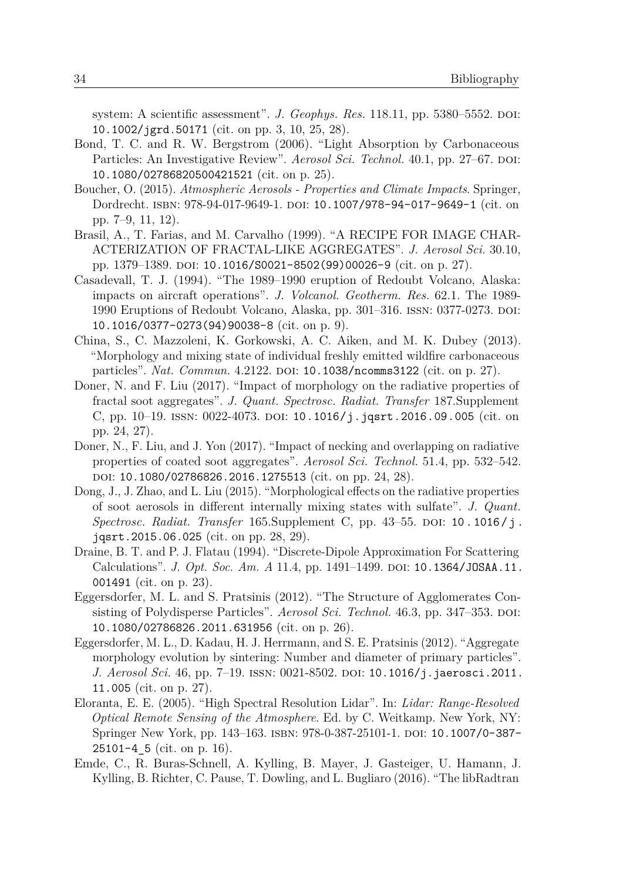system: A scientific assessment". *J. Geophys. Res.* 118.11, pp. 5380–5552. DOI: [10.1002/jgrd.50171](https://doi.org/10.1002/jgrd.50171) (cit. on pp. 3, 10, 25, 28).

- Bond, T. C. and R. W. Bergstrom (2006). "Light Absorption by Carbonaceous Particles: An Investigative Review". *Aerosol Sci. Technol.* 40.1, pp. 27–67. DOI: [10.1080/02786820500421521](https://doi.org/10.1080/02786820500421521) (cit. on p. 25).
- Boucher, O. (2015). *Atmospheric Aerosols Properties and Climate Impacts*. Springer, Dordrecht. isbn: 978-94-017-9649-1. doi: [10.1007/978-94-017-9649-1](https://doi.org/10.1007/978-94-017-9649-1) (cit. on pp. 7–9, 11, 12).
- Brasil, A., T. Farias, and M. Carvalho (1999). "A RECIPE FOR IMAGE CHAR-ACTERIZATION OF FRACTAL-LIKE AGGREGATES". *J. Aerosol Sci.* 30.10, pp. 1379–1389. doi: [10.1016/S0021-8502\(99\)00026-9](https://doi.org/10.1016/S0021-8502(99)00026-9) (cit. on p. 27).
- Casadevall, T. J. (1994). "The 1989–1990 eruption of Redoubt Volcano, Alaska: impacts on aircraft operations". *J. Volcanol. Geotherm. Res.* 62.1. The 1989- 1990 Eruptions of Redoubt Volcano, Alaska, pp. 301–316. ISSN: 0377-0273. DOI: [10.1016/0377-0273\(94\)90038-8](https://doi.org/10.1016/0377-0273(94)90038-8) (cit. on p. 9).
- China, S., C. Mazzoleni, K. Gorkowski, A. C. Aiken, and M. K. Dubey (2013). "Morphology and mixing state of individual freshly emitted wildfire carbonaceous particles". *Nat. Commun.* 4.2122. DOI: [10.1038/ncomms3122](https://doi.org/10.1038/ncomms3122) (cit. on p. 27).
- Doner, N. and F. Liu (2017). "Impact of morphology on the radiative properties of fractal soot aggregates". *J. Quant. Spectrosc. Radiat. Transfer* 187.Supplement C, pp. 10–19. ISSN: 0022-4073. DOI: [10.1016/j.jqsrt.2016.09.005](https://doi.org/10.1016/j.jqsrt.2016.09.005) (cit. on pp. 24, 27).
- Doner, N., F. Liu, and J. Yon (2017). "Impact of necking and overlapping on radiative properties of coated soot aggregates". *Aerosol Sci. Technol.* 51.4, pp. 532–542. doi: [10.1080/02786826.2016.1275513](https://doi.org/10.1080/02786826.2016.1275513) (cit. on pp. 24, 28).
- Dong, J., J. Zhao, and L. Liu (2015). "Morphological effects on the radiative properties of soot aerosols in different internally mixing states with sulfate". *J. Quant. Spectrosc. Radiat. Transfer* 165. Supplement C, pp. 43–55. DOI: 10. 1016/j. [jqsrt.2015.06.025](https://doi.org/10.1016/j.jqsrt.2015.06.025) (cit. on pp. 28, 29).
- Draine, B. T. and P. J. Flatau (1994). "Discrete-Dipole Approximation For Scattering Calculations". *J. Opt. Soc. Am. A* 11.4, pp. 1491–1499. DOI: [10.1364/JOSAA.11.](https://doi.org/10.1364/JOSAA.11.001491) [001491](https://doi.org/10.1364/JOSAA.11.001491) (cit. on p. 23).
- Eggersdorfer, M. L. and S. Pratsinis (2012). "The Structure of Agglomerates Consisting of Polydisperse Particles". *Aerosol Sci. Technol.* 46.3, pp. 347–353. DOI: [10.1080/02786826.2011.631956](https://doi.org/10.1080/02786826.2011.631956) (cit. on p. 26).
- Eggersdorfer, M. L., D. Kadau, H. J. Herrmann, and S. E. Pratsinis (2012). "Aggregate morphology evolution by sintering: Number and diameter of primary particles". *J. Aerosol Sci.* 46, pp. 7–19. ISSN: 0021-8502. DOI: [10.1016/j.jaerosci.2011.](https://doi.org/10.1016/j.jaerosci.2011.11.005) [11.005](https://doi.org/10.1016/j.jaerosci.2011.11.005) (cit. on p. 27).
- Eloranta, E. E. (2005). "High Spectral Resolution Lidar". In: *Lidar: Range-Resolved Optical Remote Sensing of the Atmosphere*. Ed. by C. Weitkamp. New York, NY: Springer New York, pp. 143–163. isbn: 978-0-387-25101-1. doi: [10.1007/0-387-](https://doi.org/10.1007/0-387-25101-4_5)  $25101-4$  5 (cit. on p. 16).
- Emde, C., R. Buras-Schnell, A. Kylling, B. Mayer, J. Gasteiger, U. Hamann, J. Kylling, B. Richter, C. Pause, T. Dowling, and L. Bugliaro (2016). "The libRadtran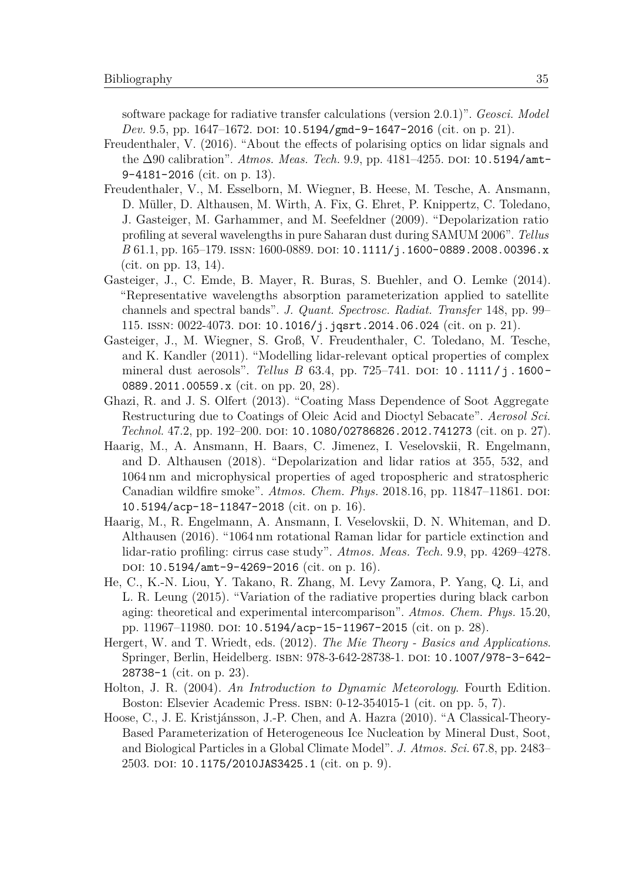software package for radiative transfer calculations (version 2.0.1)". *Geosci. Model Dev.* 9.5, pp. 1647–1672. DOI: [10.5194/gmd-9-1647-2016](https://doi.org/10.5194/gmd-9-1647-2016) (cit. on p. 21).

- Freudenthaler, V. (2016). "About the effects of polarising optics on lidar signals and the ∆90 calibration". *Atmos. Meas. Tech.* 9.9, pp. 4181–4255. doi: [10.5194/amt-](https://doi.org/10.5194/amt-9-4181-2016)[9-4181-2016](https://doi.org/10.5194/amt-9-4181-2016) (cit. on p. 13).
- Freudenthaler, V., M. Esselborn, M. Wiegner, B. Heese, M. Tesche, A. Ansmann, D. Müller, D. Althausen, M. Wirth, A. Fix, G. Ehret, P. Knippertz, C. Toledano, J. Gasteiger, M. Garhammer, and M. Seefeldner (2009). "Depolarization ratio profiling at several wavelengths in pure Saharan dust during SAMUM 2006". *Tellus B* 61.1, pp. 165–179. ISSN: 1600-0889. DOI: [10.1111/j.1600-0889.2008.00396.x](https://doi.org/10.1111/j.1600-0889.2008.00396.x) (cit. on pp. 13, 14).
- Gasteiger, J., C. Emde, B. Mayer, R. Buras, S. Buehler, and O. Lemke (2014). "Representative wavelengths absorption parameterization applied to satellite channels and spectral bands". *J. Quant. Spectrosc. Radiat. Transfer* 148, pp. 99– 115. issn: 0022-4073. doi: [10.1016/j.jqsrt.2014.06.024](https://doi.org/10.1016/j.jqsrt.2014.06.024) (cit. on p. 21).
- Gasteiger, J., M. Wiegner, S. Groß, V. Freudenthaler, C. Toledano, M. Tesche, and K. Kandler (2011). "Modelling lidar-relevant optical properties of complex mineral dust aerosols". *Tellus B* 63.4, pp. 725–741. DOI: 10.1111/j.1600-[0889.2011.00559.x](https://doi.org/10.1111/j.1600-0889.2011.00559.x) (cit. on pp. 20, 28).
- Ghazi, R. and J. S. Olfert (2013). "Coating Mass Dependence of Soot Aggregate Restructuring due to Coatings of Oleic Acid and Dioctyl Sebacate". *Aerosol Sci. Technol.* 47.2, pp. 192–200. DOI: [10.1080/02786826.2012.741273](https://doi.org/10.1080/02786826.2012.741273) (cit. on p. 27).
- Haarig, M., A. Ansmann, H. Baars, C. Jimenez, I. Veselovskii, R. Engelmann, and D. Althausen (2018). "Depolarization and lidar ratios at 355, 532, and 1064 nm and microphysical properties of aged tropospheric and stratospheric Canadian wildfire smoke". Atmos. Chem. Phys. 2018.16, pp. 11847-11861. DOI: [10.5194/acp-18-11847-2018](https://doi.org/10.5194/acp-18-11847-2018) (cit. on p. 16).
- Haarig, M., R. Engelmann, A. Ansmann, I. Veselovskii, D. N. Whiteman, and D. Althausen (2016). "1064 nm rotational Raman lidar for particle extinction and lidar-ratio profiling: cirrus case study". *Atmos. Meas. Tech.* 9.9, pp. 4269–4278. DOI: [10.5194/amt-9-4269-2016](https://doi.org/10.5194/amt-9-4269-2016) (cit. on p. 16).
- He, C., K.-N. Liou, Y. Takano, R. Zhang, M. Levy Zamora, P. Yang, Q. Li, and L. R. Leung (2015). "Variation of the radiative properties during black carbon aging: theoretical and experimental intercomparison". *Atmos. Chem. Phys.* 15.20, pp. 11967–11980. poi: [10.5194/acp-15-11967-2015](https://doi.org/10.5194/acp-15-11967-2015) (cit. on p. 28).
- Hergert, W. and T. Wriedt, eds. (2012). *The Mie Theory Basics and Applications*. Springer, Berlin, Heidelberg. ISBN: 978-3-642-28738-1. DOI: [10.1007/978-3-642-](https://doi.org/10.1007/978-3-642-28738-1) [28738-1](https://doi.org/10.1007/978-3-642-28738-1) (cit. on p. 23).
- Holton, J. R. (2004). *An Introduction to Dynamic Meteorology*. Fourth Edition. Boston: Elsevier Academic Press. isbn: 0-12-354015-1 (cit. on pp. 5, 7).
- Hoose, C., J. E. Kristjánsson, J.-P. Chen, and A. Hazra (2010). "A Classical-Theory-Based Parameterization of Heterogeneous Ice Nucleation by Mineral Dust, Soot, and Biological Particles in a Global Climate Model". *J. Atmos. Sci.* 67.8, pp. 2483– 2503. doi: [10.1175/2010JAS3425.1](https://doi.org/10.1175/2010JAS3425.1) (cit. on p. 9).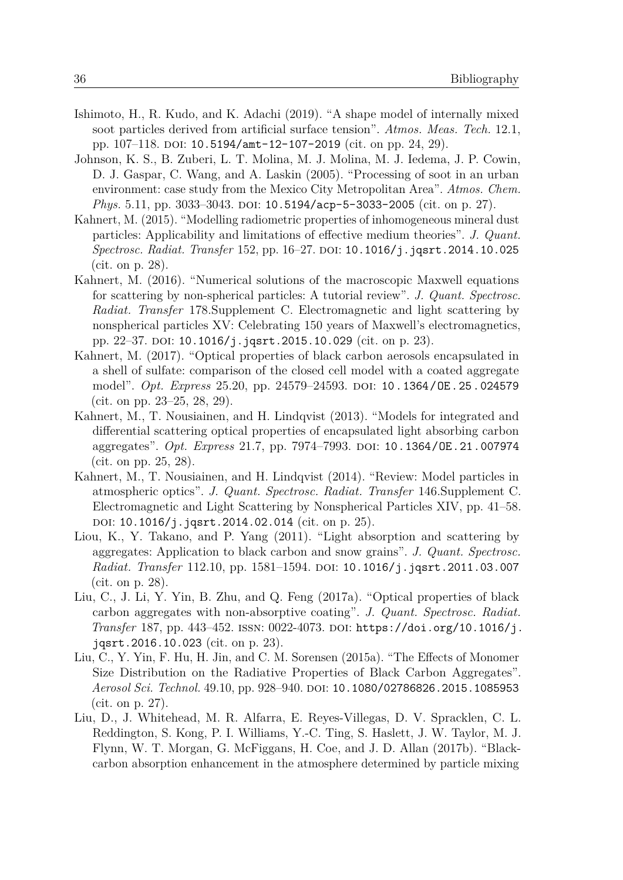- Ishimoto, H., R. Kudo, and K. Adachi (2019). "A shape model of internally mixed soot particles derived from artificial surface tension". *Atmos. Meas. Tech.* 12.1, pp. 107–118. DOI: [10.5194/amt-12-107-2019](https://doi.org/10.5194/amt-12-107-2019) (cit. on pp. 24, 29).
- Johnson, K. S., B. Zuberi, L. T. Molina, M. J. Molina, M. J. Iedema, J. P. Cowin, D. J. Gaspar, C. Wang, and A. Laskin (2005). "Processing of soot in an urban environment: case study from the Mexico City Metropolitan Area". *Atmos. Chem. Phys.* 5.11, pp. 3033-3043. DOI: [10.5194/acp-5-3033-2005](https://doi.org/10.5194/acp-5-3033-2005) (cit. on p. 27).
- Kahnert, M. (2015). "Modelling radiometric properties of inhomogeneous mineral dust particles: Applicability and limitations of effective medium theories". *J. Quant. Spectrosc. Radiat. Transfer* 152, pp. 16–27. doi: [10.1016/j.jqsrt.2014.10.025](https://doi.org/10.1016/j.jqsrt.2014.10.025) (cit. on p. 28).
- Kahnert, M. (2016). "Numerical solutions of the macroscopic Maxwell equations for scattering by non-spherical particles: A tutorial review". *J. Quant. Spectrosc. Radiat. Transfer* 178.Supplement C. Electromagnetic and light scattering by nonspherical particles XV: Celebrating 150 years of Maxwell's electromagnetics, pp. 22–37. DOI: [10.1016/j.jqsrt.2015.10.029](https://doi.org/10.1016/j.jqsrt.2015.10.029) (cit. on p. 23).
- Kahnert, M. (2017). "Optical properties of black carbon aerosols encapsulated in a shell of sulfate: comparison of the closed cell model with a coated aggregate model". *Opt. Express* 25.20, pp. 24579–24593. doi: [10.1364/OE.25.024579](https://doi.org/10.1364/OE.25.024579) (cit. on pp. 23–25, 28, 29).
- Kahnert, M., T. Nousiainen, and H. Lindqvist (2013). "Models for integrated and differential scattering optical properties of encapsulated light absorbing carbon aggregates". *Opt. Express* 21.7, pp. 7974–7993. doi: [10.1364/OE.21.007974](https://doi.org/10.1364/OE.21.007974) (cit. on pp. 25, 28).
- Kahnert, M., T. Nousiainen, and H. Lindqvist (2014). "Review: Model particles in atmospheric optics". *J. Quant. Spectrosc. Radiat. Transfer* 146.Supplement C. Electromagnetic and Light Scattering by Nonspherical Particles XIV, pp. 41–58. DOI: [10.1016/j.jqsrt.2014.02.014](https://doi.org/10.1016/j.jqsrt.2014.02.014) (cit. on p. 25).
- Liou, K., Y. Takano, and P. Yang (2011). "Light absorption and scattering by aggregates: Application to black carbon and snow grains". *J. Quant. Spectrosc. Radiat. Transfer* 112.10, pp. 1581-1594. DOI: [10.1016/j.jqsrt.2011.03.007](https://doi.org/10.1016/j.jqsrt.2011.03.007) (cit. on p. 28).
- Liu, C., J. Li, Y. Yin, B. Zhu, and Q. Feng (2017a). "Optical properties of black carbon aggregates with non-absorptive coating". *J. Quant. Spectrosc. Radiat. Transfer* 187, pp. 443–452. issn: 0022-4073. doi: [https://doi.org/10.1016/j.](https://doi.org/https://doi.org/10.1016/j.jqsrt.2016.10.023) [jqsrt.2016.10.023](https://doi.org/https://doi.org/10.1016/j.jqsrt.2016.10.023) (cit. on p. 23).
- Liu, C., Y. Yin, F. Hu, H. Jin, and C. M. Sorensen (2015a). "The Effects of Monomer Size Distribution on the Radiative Properties of Black Carbon Aggregates". *Aerosol Sci. Technol.* 49.10, pp. 928–940. doi: [10.1080/02786826.2015.1085953](https://doi.org/10.1080/02786826.2015.1085953) (cit. on p. 27).
- Liu, D., J. Whitehead, M. R. Alfarra, E. Reyes-Villegas, D. V. Spracklen, C. L. Reddington, S. Kong, P. I. Williams, Y.-C. Ting, S. Haslett, J. W. Taylor, M. J. Flynn, W. T. Morgan, G. McFiggans, H. Coe, and J. D. Allan (2017b). "Blackcarbon absorption enhancement in the atmosphere determined by particle mixing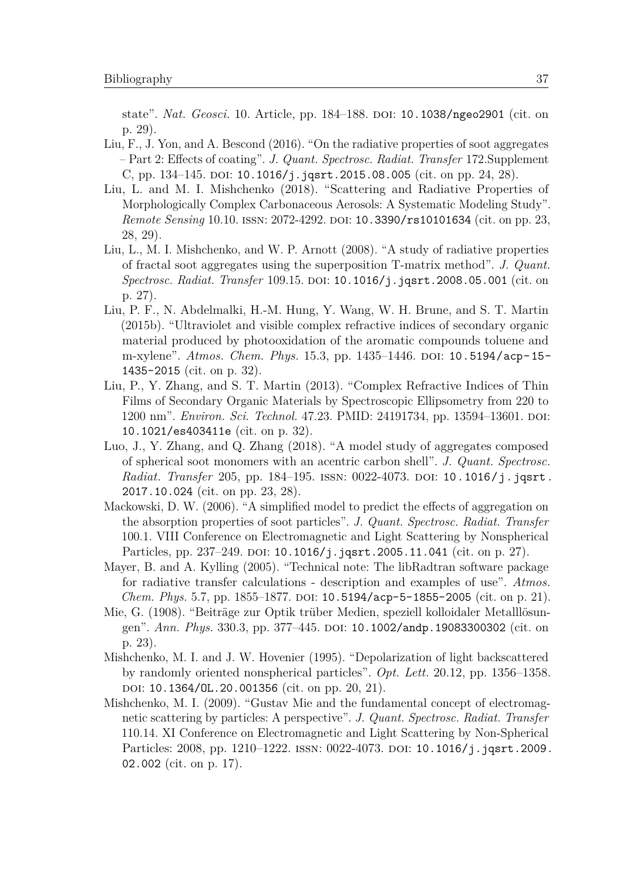state". *Nat. Geosci.* 10. Article, pp. 184–188. doi: [10.1038/ngeo2901](https://doi.org/10.1038/ngeo2901) (cit. on p. 29).

- Liu, F., J. Yon, and A. Bescond (2016). "On the radiative properties of soot aggregates – Part 2: Effects of coating". *J. Quant. Spectrosc. Radiat. Transfer* 172.Supplement C, pp. 134–145. DOI:  $10.1016/j$ . jqsrt.2015.08.005 (cit. on pp. 24, 28).
- Liu, L. and M. I. Mishchenko (2018). "Scattering and Radiative Properties of Morphologically Complex Carbonaceous Aerosols: A Systematic Modeling Study". *Remote Sensing* 10.10. ISSN: 2072-4292. DOI: [10.3390/rs10101634](https://doi.org/10.3390/rs10101634) (cit. on pp. 23, 28, 29).
- Liu, L., M. I. Mishchenko, and W. P. Arnott (2008). "A study of radiative properties of fractal soot aggregates using the superposition T-matrix method". *J. Quant. Spectrosc. Radiat. Transfer* 109.15. doi: [10.1016/j.jqsrt.2008.05.001](https://doi.org/10.1016/j.jqsrt.2008.05.001) (cit. on p. 27).
- Liu, P. F., N. Abdelmalki, H.-M. Hung, Y. Wang, W. H. Brune, and S. T. Martin (2015b). "Ultraviolet and visible complex refractive indices of secondary organic material produced by photooxidation of the aromatic compounds toluene and m-xylene". *Atmos. Chem. Phys.* 15.3, pp. 1435–1446. DOI: [10.5194/acp-15-](https://doi.org/10.5194/acp-15-1435-2015) [1435-2015](https://doi.org/10.5194/acp-15-1435-2015) (cit. on p. 32).
- Liu, P., Y. Zhang, and S. T. Martin (2013). "Complex Refractive Indices of Thin Films of Secondary Organic Materials by Spectroscopic Ellipsometry from 220 to 1200 nm". *Environ. Sci. Technol.* 47.23. PMID: 24191734, pp. 13594–13601. DOI: [10.1021/es403411e](https://doi.org/10.1021/es403411e) (cit. on p. 32).
- Luo, J., Y. Zhang, and Q. Zhang (2018). "A model study of aggregates composed of spherical soot monomers with an acentric carbon shell". *J. Quant. Spectrosc. Radiat. Transfer* 205, pp. 184–195. ISSN: 0022-4073. DOI: [10.1016/j.jqsrt.](https://doi.org/10.1016/j.jqsrt.2017.10.024) [2017.10.024](https://doi.org/10.1016/j.jqsrt.2017.10.024) (cit. on pp. 23, 28).
- Mackowski, D. W. (2006). "A simplified model to predict the effects of aggregation on the absorption properties of soot particles". *J. Quant. Spectrosc. Radiat. Transfer* 100.1. VIII Conference on Electromagnetic and Light Scattering by Nonspherical Particles, pp.  $237-249$ . DOI:  $10.1016/j$ . jqsrt. 2005.11.041 (cit. on p. 27).
- Mayer, B. and A. Kylling (2005). "Technical note: The libRadtran software package for radiative transfer calculations - description and examples of use". *Atmos. Chem. Phys.* 5.7, pp. 1855–1877. doi: [10.5194/acp-5-1855-2005](https://doi.org/10.5194/acp-5-1855-2005) (cit. on p. 21).
- Mie, G. (1908). "Beiträge zur Optik trüber Medien, speziell kolloidaler Metalllösun-gen". Ann. Phys. 330.3, pp. 377-445. DOI: [10.1002/andp.19083300302](https://doi.org/10.1002/andp.19083300302) (cit. on p. 23).
- Mishchenko, M. I. and J. W. Hovenier (1995). "Depolarization of light backscattered by randomly oriented nonspherical particles". *Opt. Lett.* 20.12, pp. 1356–1358. DOI: [10.1364/OL.20.001356](https://doi.org/10.1364/OL.20.001356) (cit. on pp. 20, 21).
- Mishchenko, M. I. (2009). "Gustav Mie and the fundamental concept of electromagnetic scattering by particles: A perspective". *J. Quant. Spectrosc. Radiat. Transfer* 110.14. XI Conference on Electromagnetic and Light Scattering by Non-Spherical Particles: 2008, pp. 1210-1222. ISSN: 0022-4073. DOI: [10.1016/j.jqsrt.2009.](https://doi.org/10.1016/j.jqsrt.2009.02.002) [02.002](https://doi.org/10.1016/j.jqsrt.2009.02.002) (cit. on p. 17).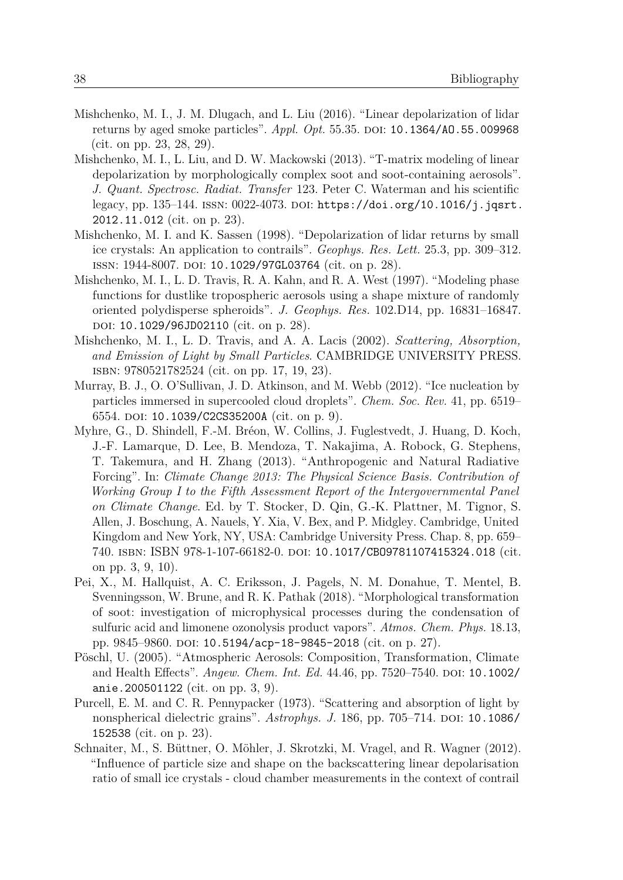- Mishchenko, M. I., J. M. Dlugach, and L. Liu (2016). "Linear depolarization of lidar returns by aged smoke particles". *Appl. Opt.* 55.35. DOI: [10.1364/AO.55.009968](https://doi.org/10.1364/AO.55.009968) (cit. on pp. 23, 28, 29).
- Mishchenko, M. I., L. Liu, and D. W. Mackowski (2013). "T-matrix modeling of linear depolarization by morphologically complex soot and soot-containing aerosols". *J. Quant. Spectrosc. Radiat. Transfer* 123. Peter C. Waterman and his scientific legacy, pp. 135–144. ISSN:  $0022-4073$ . DOI: [https://doi.org/10.1016/j.jqsrt.](https://doi.org/https://doi.org/10.1016/j.jqsrt.2012.11.012) [2012.11.012](https://doi.org/https://doi.org/10.1016/j.jqsrt.2012.11.012) (cit. on p. 23).
- Mishchenko, M. I. and K. Sassen (1998). "Depolarization of lidar returns by small ice crystals: An application to contrails". *Geophys. Res. Lett.* 25.3, pp. 309–312. ISSN: 1944-8007. DOI: [10.1029/97GL03764](https://doi.org/10.1029/97GL03764) (cit. on p. 28).
- Mishchenko, M. I., L. D. Travis, R. A. Kahn, and R. A. West (1997). "Modeling phase functions for dustlike tropospheric aerosols using a shape mixture of randomly oriented polydisperse spheroids". *J. Geophys. Res.* 102.D14, pp. 16831–16847. doi: [10.1029/96JD02110](https://doi.org/10.1029/96JD02110) (cit. on p. 28).
- Mishchenko, M. I., L. D. Travis, and A. A. Lacis (2002). *Scattering, Absorption, and Emission of Light by Small Particles*. CAMBRIDGE UNIVERSITY PRESS. isbn: 9780521782524 (cit. on pp. 17, 19, 23).
- Murray, B. J., O. O'Sullivan, J. D. Atkinson, and M. Webb (2012). "Ice nucleation by particles immersed in supercooled cloud droplets". *Chem. Soc. Rev.* 41, pp. 6519– 6554. doi: [10.1039/C2CS35200A](https://doi.org/10.1039/C2CS35200A) (cit. on p. 9).
- Myhre, G., D. Shindell, F.-M. Bréon, W. Collins, J. Fuglestvedt, J. Huang, D. Koch, J.-F. Lamarque, D. Lee, B. Mendoza, T. Nakajima, A. Robock, G. Stephens, T. Takemura, and H. Zhang (2013). "Anthropogenic and Natural Radiative Forcing". In: *Climate Change 2013: The Physical Science Basis. Contribution of Working Group I to the Fifth Assessment Report of the Intergovernmental Panel on Climate Change*. Ed. by T. Stocker, D. Qin, G.-K. Plattner, M. Tignor, S. Allen, J. Boschung, A. Nauels, Y. Xia, V. Bex, and P. Midgley. Cambridge, United Kingdom and New York, NY, USA: Cambridge University Press. Chap. 8, pp. 659– 740. isbn: ISBN 978-1-107-66182-0. doi: [10.1017/CBO9781107415324.018](https://doi.org/10.1017/CBO9781107415324.018) (cit. on pp. 3, 9, 10).
- Pei, X., M. Hallquist, A. C. Eriksson, J. Pagels, N. M. Donahue, T. Mentel, B. Svenningsson, W. Brune, and R. K. Pathak (2018). "Morphological transformation of soot: investigation of microphysical processes during the condensation of sulfuric acid and limonene ozonolysis product vapors". *Atmos. Chem. Phys.* 18.13, pp. 9845–9860. doi: [10.5194/acp-18-9845-2018](https://doi.org/10.5194/acp-18-9845-2018) (cit. on p. 27).
- Pöschl, U. (2005). "Atmospheric Aerosols: Composition, Transformation, Climate and Health Effects". *Angew. Chem. Int. Ed.* 44.46, pp. 7520–7540. DOI: [10.1002/](https://doi.org/10.1002/anie.200501122) [anie.200501122](https://doi.org/10.1002/anie.200501122) (cit. on pp. 3, 9).
- Purcell, E. M. and C. R. Pennypacker (1973). "Scattering and absorption of light by nonspherical dielectric grains". *Astrophys. J.* 186, pp. 705–714. poi: [10.1086/](https://doi.org/10.1086/152538) [152538](https://doi.org/10.1086/152538) (cit. on p. 23).
- Schnaiter, M., S. Büttner, O. Möhler, J. Skrotzki, M. Vragel, and R. Wagner (2012). "Influence of particle size and shape on the backscattering linear depolarisation ratio of small ice crystals - cloud chamber measurements in the context of contrail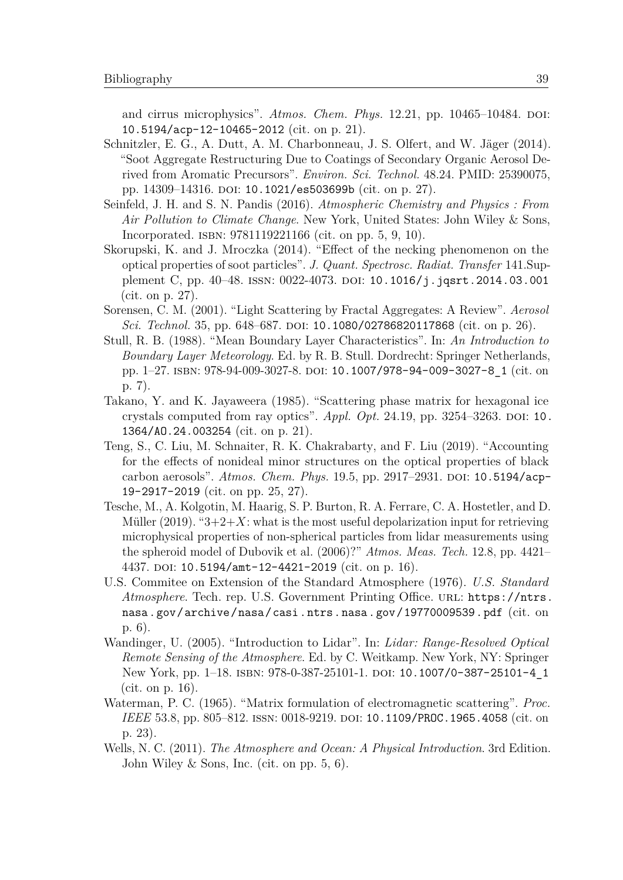and cirrus microphysics". *Atmos. Chem. Phys.* 12.21, pp. 10465–10484. DOI: [10.5194/acp-12-10465-2012](https://doi.org/10.5194/acp-12-10465-2012) (cit. on p. 21).

- Schnitzler, E. G., A. Dutt, A. M. Charbonneau, J. S. Olfert, and W. Jäger (2014). "Soot Aggregate Restructuring Due to Coatings of Secondary Organic Aerosol Derived from Aromatic Precursors". *Environ. Sci. Technol.* 48.24. PMID: 25390075, pp. 14309–14316. doi: [10.1021/es503699b](https://doi.org/10.1021/es503699b) (cit. on p. 27).
- Seinfeld, J. H. and S. N. Pandis (2016). *Atmospheric Chemistry and Physics : From Air Pollution to Climate Change*. New York, United States: John Wiley & Sons, Incorporated. isbn: 9781119221166 (cit. on pp. 5, 9, 10).
- Skorupski, K. and J. Mroczka (2014). "Effect of the necking phenomenon on the optical properties of soot particles". *J. Quant. Spectrosc. Radiat. Transfer* 141.Supplement C, pp. 40–48. ISSN:  $0022-4073$ . DOI: [10.1016/j.jqsrt.2014.03.001](https://doi.org/10.1016/j.jqsrt.2014.03.001) (cit. on p. 27).
- Sorensen, C. M. (2001). "Light Scattering by Fractal Aggregates: A Review". *Aerosol Sci. Technol.* 35, pp. 648–687. DOI: [10.1080/02786820117868](https://doi.org/10.1080/02786820117868) (cit. on p. 26).
- Stull, R. B. (1988). "Mean Boundary Layer Characteristics". In: *An Introduction to Boundary Layer Meteorology*. Ed. by R. B. Stull. Dordrecht: Springer Netherlands, pp. 1–27. ISBN: 978-94-009-3027-8. DOI: [10.1007/978-94-009-3027-8\\_1](https://doi.org/10.1007/978-94-009-3027-8_1) (cit. on p. 7).
- Takano, Y. and K. Jayaweera (1985). "Scattering phase matrix for hexagonal ice crystals computed from ray optics". *Appl. Opt.* 24.19, pp. 3254–3263. DOI: [10.](https://doi.org/10.1364/AO.24.003254) [1364/AO.24.003254](https://doi.org/10.1364/AO.24.003254) (cit. on p. 21).
- Teng, S., C. Liu, M. Schnaiter, R. K. Chakrabarty, and F. Liu (2019). "Accounting for the effects of nonideal minor structures on the optical properties of black carbon aerosols". *Atmos. Chem. Phys.* 19.5, pp. 2917–2931. doi: [10.5194/acp-](https://doi.org/10.5194/acp-19-2917-2019)[19-2917-2019](https://doi.org/10.5194/acp-19-2917-2019) (cit. on pp. 25, 27).
- Tesche, M., A. Kolgotin, M. Haarig, S. P. Burton, R. A. Ferrare, C. A. Hostetler, and D. Müller  $(2019)$ . " $3+2+X$ : what is the most useful depolarization input for retrieving microphysical properties of non-spherical particles from lidar measurements using the spheroid model of Dubovik et al. (2006)?" *Atmos. Meas. Tech.* 12.8, pp. 4421– 4437. DOI: [10.5194/amt-12-4421-2019](https://doi.org/10.5194/amt-12-4421-2019) (cit. on p. 16).
- U.S. Commitee on Extension of the Standard Atmosphere (1976). *U.S. Standard Atmosphere.* Tech. rep. U.S. Government Printing Office. URL: [https://ntrs.](https://ntrs.nasa.gov/archive/nasa/casi.ntrs.nasa.gov/19770009539.pdf) [nasa.gov/archive/nasa/casi.ntrs.nasa.gov/19770009539.pdf](https://ntrs.nasa.gov/archive/nasa/casi.ntrs.nasa.gov/19770009539.pdf) (cit. on p. 6).
- Wandinger, U. (2005). "Introduction to Lidar". In: *Lidar: Range-Resolved Optical Remote Sensing of the Atmosphere*. Ed. by C. Weitkamp. New York, NY: Springer New York, pp. 1-18. ISBN: 978-0-387-25101-1. DOI: [10.1007/0-387-25101-4\\_1](https://doi.org/10.1007/0-387-25101-4_1) (cit. on p. 16).
- Waterman, P. C. (1965). "Matrix formulation of electromagnetic scattering". *Proc. IEEE* 53.8, pp. 805–812. ISSN: 0018-9219. DOI: [10.1109/PROC.1965.4058](https://doi.org/10.1109/PROC.1965.4058) (cit. on p. 23).
- Wells, N. C. (2011). *The Atmosphere and Ocean: A Physical Introduction*. 3rd Edition. John Wiley & Sons, Inc. (cit. on pp. 5, 6).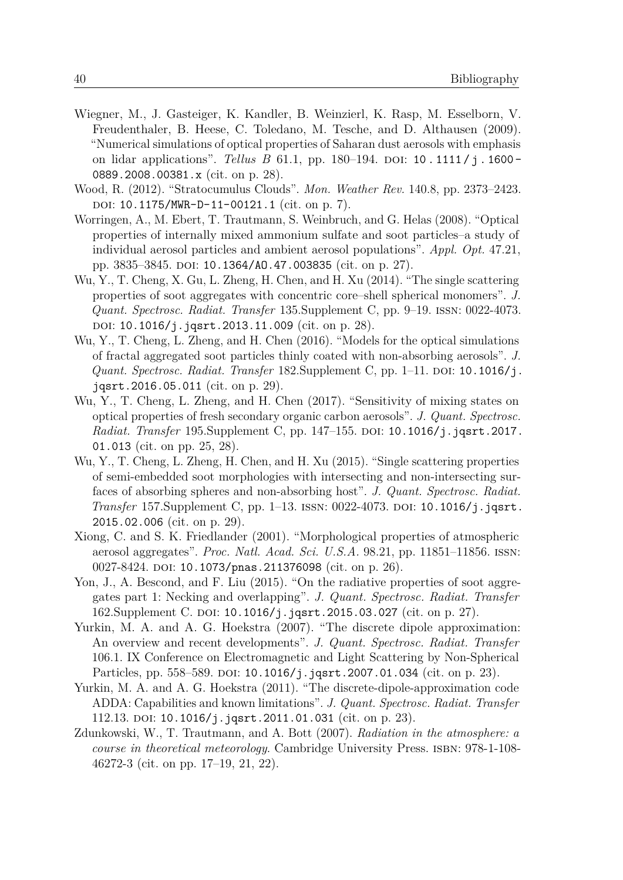- Wiegner, M., J. Gasteiger, K. Kandler, B. Weinzierl, K. Rasp, M. Esselborn, V. Freudenthaler, B. Heese, C. Toledano, M. Tesche, and D. Althausen (2009). "Numerical simulations of optical properties of Saharan dust aerosols with emphasis on lidar applications". *Tellus B* 61.1, pp. 180–194. DOI: 10. 1111/j. 1600 -[0889.2008.00381.x](https://doi.org/10.1111/j.1600-0889.2008.00381.x) (cit. on p. 28).
- Wood, R. (2012). "Stratocumulus Clouds". *Mon. Weather Rev.* 140.8, pp. 2373–2423. DOI: [10.1175/MWR-D-11-00121.1](https://doi.org/10.1175/MWR-D-11-00121.1) (cit. on p. 7).
- Worringen, A., M. Ebert, T. Trautmann, S. Weinbruch, and G. Helas (2008). "Optical properties of internally mixed ammonium sulfate and soot particles–a study of individual aerosol particles and ambient aerosol populations". *Appl. Opt.* 47.21, pp. 3835–3845. doi: [10.1364/AO.47.003835](https://doi.org/10.1364/AO.47.003835) (cit. on p. 27).
- Wu, Y., T. Cheng, X. Gu, L. Zheng, H. Chen, and H. Xu (2014). "The single scattering properties of soot aggregates with concentric core–shell spherical monomers". *J. Quant. Spectrosc. Radiat. Transfer* 135.Supplement C, pp. 9–19. issn: 0022-4073. DOI: [10.1016/j.jqsrt.2013.11.009](https://doi.org/10.1016/j.jqsrt.2013.11.009) (cit. on p. 28).
- Wu, Y., T. Cheng, L. Zheng, and H. Chen (2016). "Models for the optical simulations of fractal aggregated soot particles thinly coated with non-absorbing aerosols". *J. Quant. Spectrosc. Radiat. Transfer* 182. Supplement C, pp. 1–11. DOI: [10.1016/j.](https://doi.org/10.1016/j.jqsrt.2016.05.011) [jqsrt.2016.05.011](https://doi.org/10.1016/j.jqsrt.2016.05.011) (cit. on p. 29).
- Wu, Y., T. Cheng, L. Zheng, and H. Chen (2017). "Sensitivity of mixing states on optical properties of fresh secondary organic carbon aerosols". *J. Quant. Spectrosc. Radiat. Transfer* 195. Supplement C, pp. 147–155. DOI: [10.1016/j.jqsrt.2017.](https://doi.org/10.1016/j.jqsrt.2017.01.013) [01.013](https://doi.org/10.1016/j.jqsrt.2017.01.013) (cit. on pp. 25, 28).
- Wu, Y., T. Cheng, L. Zheng, H. Chen, and H. Xu (2015). "Single scattering properties of semi-embedded soot morphologies with intersecting and non-intersecting surfaces of absorbing spheres and non-absorbing host". *J. Quant. Spectrosc. Radiat. Transfer* 157. Supplement C, pp. 1–13. ISSN: 0022-4073. DOI: [10.1016/j.jqsrt.](https://doi.org/10.1016/j.jqsrt.2015.02.006) [2015.02.006](https://doi.org/10.1016/j.jqsrt.2015.02.006) (cit. on p. 29).
- Xiong, C. and S. K. Friedlander (2001). "Morphological properties of atmospheric aerosol aggregates". *Proc. Natl. Acad. Sci. U.S.A.* 98.21, pp. 11851–11856. issn: 0027-8424. DOI: [10.1073/pnas.211376098](https://doi.org/10.1073/pnas.211376098) (cit. on p. 26).
- Yon, J., A. Bescond, and F. Liu (2015). "On the radiative properties of soot aggregates part 1: Necking and overlapping". *J. Quant. Spectrosc. Radiat. Transfer* 162. Supplement C. DOI: [10.1016/j.jqsrt.2015.03.027](https://doi.org/10.1016/j.jqsrt.2015.03.027) (cit. on p. 27).
- Yurkin, M. A. and A. G. Hoekstra (2007). "The discrete dipole approximation: An overview and recent developments". *J. Quant. Spectrosc. Radiat. Transfer* 106.1. IX Conference on Electromagnetic and Light Scattering by Non-Spherical Particles, pp. 558–589. DOI: [10.1016/j.jqsrt.2007.01.034](https://doi.org/10.1016/j.jqsrt.2007.01.034) (cit. on p. 23).
- Yurkin, M. A. and A. G. Hoekstra (2011). "The discrete-dipole-approximation code ADDA: Capabilities and known limitations". *J. Quant. Spectrosc. Radiat. Transfer* 112.13. DOI: [10.1016/j.jqsrt.2011.01.031](https://doi.org/10.1016/j.jqsrt.2011.01.031) (cit. on p. 23).
- Zdunkowski, W., T. Trautmann, and A. Bott (2007). *Radiation in the atmosphere: a course in theoretical meteorology*. Cambridge University Press. ISBN: 978-1-108-46272-3 (cit. on pp. 17–19, 21, 22).